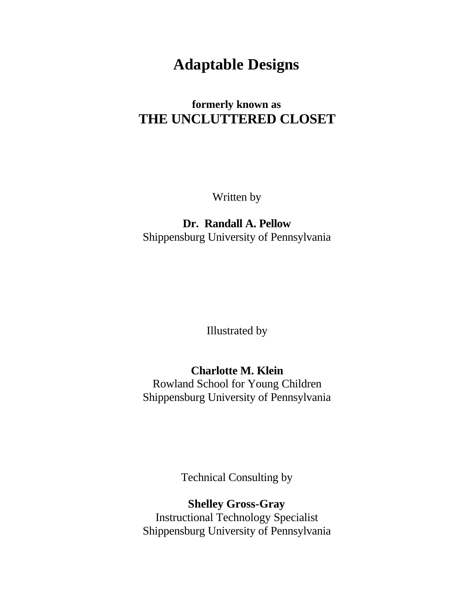# **Adaptable Designs**

## **formerly known as THE UNCLUTTERED CLOSET**

Written by

## **Dr. Randall A. Pellow** Shippensburg University of Pennsylvania

Illustrated by

## **Charlotte M. Klein**

Rowland School for Young Children Shippensburg University of Pennsylvania

Technical Consulting by

**Shelley Gross-Gray** Instructional Technology Specialist Shippensburg University of Pennsylvania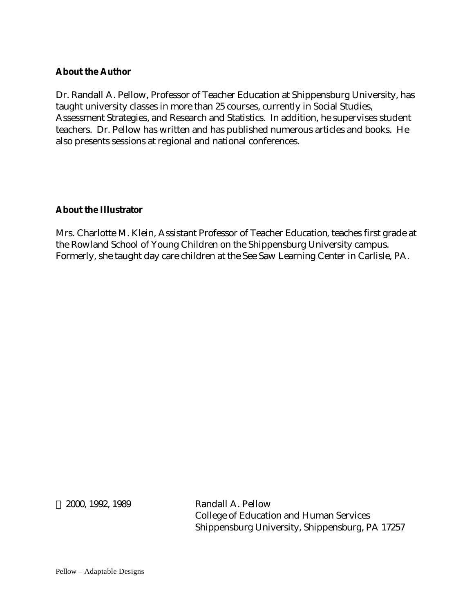## **About the Author**

Dr. Randall A. Pellow, Professor of Teacher Education at Shippensburg University, has taught university classes in more than 25 courses, currently in Social Studies, Assessment Strategies, and Research and Statistics. In addition, he supervises student teachers. Dr. Pellow has written and has published numerous articles and books. He also presents sessions at regional and national conferences.

## **About the Illustrator**

Mrs. Charlotte M. Klein, Assistant Professor of Teacher Education, teaches first grade at the Rowland School of Young Children on the Shippensburg University campus. Formerly, she taught day care children at the See Saw Learning Center in Carlisle, PA.

 2000, 1992, 1989 Randall A. Pellow College of Education and Human Services Shippensburg University, Shippensburg, PA 17257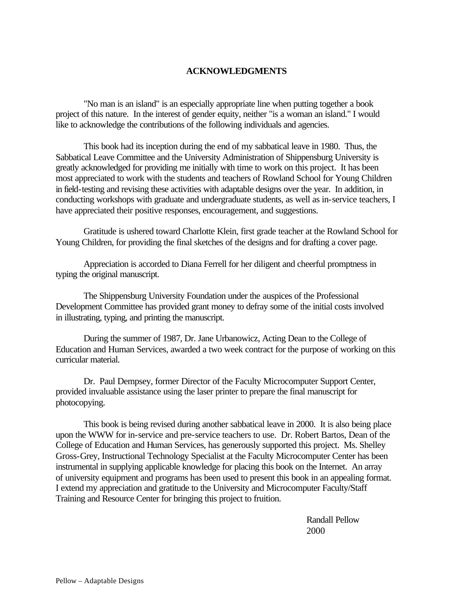#### **ACKNOWLEDGMENTS**

"No man is an island" is an especially appropriate line when putting together a book project of this nature. In the interest of gender equity, neither "is a woman an island." I would like to acknowledge the contributions of the following individuals and agencies.

This book had its inception during the end of my sabbatical leave in 1980. Thus, the Sabbatical Leave Committee and the University Administration of Shippensburg University is greatly acknowledged for providing me initially with time to work on this project. It has been most appreciated to work with the students and teachers of Rowland School for Young Children in field-testing and revising these activities with adaptable designs over the year. In addition, in conducting workshops with graduate and undergraduate students, as well as in-service teachers, I have appreciated their positive responses, encouragement, and suggestions.

Gratitude is ushered toward Charlotte Klein, first grade teacher at the Rowland School for Young Children, for providing the final sketches of the designs and for drafting a cover page.

Appreciation is accorded to Diana Ferrell for her diligent and cheerful promptness in typing the original manuscript.

The Shippensburg University Foundation under the auspices of the Professional Development Committee has provided grant money to defray some of the initial costs involved in illustrating, typing, and printing the manuscript.

During the summer of 1987, Dr. Jane Urbanowicz, Acting Dean to the College of Education and Human Services, awarded a two week contract for the purpose of working on this curricular material.

Dr. Paul Dempsey, former Director of the Faculty Microcomputer Support Center, provided invaluable assistance using the laser printer to prepare the final manuscript for photocopying.

This book is being revised during another sabbatical leave in 2000. It is also being place upon the WWW for in-service and pre-service teachers to use. Dr. Robert Bartos, Dean of the College of Education and Human Services, has generously supported this project. Ms. Shelley Gross-Grey, Instructional Technology Specialist at the Faculty Microcomputer Center has been instrumental in supplying applicable knowledge for placing this book on the Internet. An array of university equipment and programs has been used to present this book in an appealing format. I extend my appreciation and gratitude to the University and Microcomputer Faculty/Staff Training and Resource Center for bringing this project to fruition.

> Randall Pellow 2000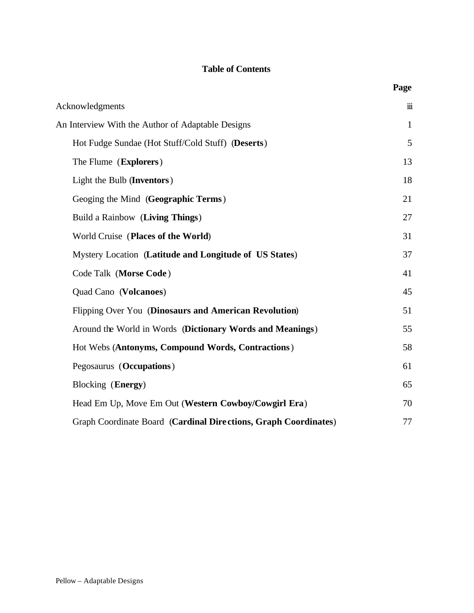## **Table of Contents**

| Acknowledgments                                                 | $\dddot{\mathbf{m}}$ |
|-----------------------------------------------------------------|----------------------|
| An Interview With the Author of Adaptable Designs               | $\mathbf{1}$         |
| Hot Fudge Sundae (Hot Stuff/Cold Stuff) (Deserts)               | 5                    |
| The Flume (Explorers)                                           | 13                   |
| Light the Bulb (Inventors)                                      | 18                   |
| Geoging the Mind (Geographic Terms)                             | 21                   |
| Build a Rainbow (Living Things)                                 | 27                   |
| World Cruise (Places of the World)                              | 31                   |
| Mystery Location (Latitude and Longitude of US States)          | 37                   |
| Code Talk (Morse Code)                                          | 41                   |
| Quad Cano (Volcanoes)                                           | 45                   |
| Flipping Over You (Dinosaurs and American Revolution)           | 51                   |
| Around the World in Words (Dictionary Words and Meanings)       | 55                   |
| Hot Webs (Antonyms, Compound Words, Contractions)               | 58                   |
| Pegosaurus (Occupations)                                        | 61                   |
| Blocking (Energy)                                               | 65                   |
| Head Em Up, Move Em Out (Western Cowboy/Cowgirl Era)            | 70                   |
| Graph Coordinate Board (Cardinal Directions, Graph Coordinates) | 77                   |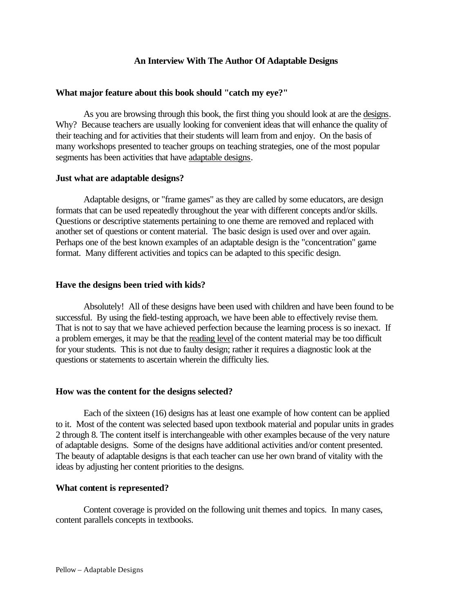#### **An Interview With The Author Of Adaptable Designs**

#### **What major feature about this book should "catch my eye?"**

As you are browsing through this book, the first thing you should look at are the designs. Why? Because teachers are usually looking for convenient ideas that will enhance the quality of their teaching and for activities that their students will learn from and enjoy. On the basis of many workshops presented to teacher groups on teaching strategies, one of the most popular segments has been activities that have adaptable designs.

#### **Just what are adaptable designs?**

Adaptable designs, or "frame games" as they are called by some educators, are design formats that can be used repeatedly throughout the year with different concepts and/or skills. Questions or descriptive statements pertaining to one theme are removed and replaced with another set of questions or content material. The basic design is used over and over again. Perhaps one of the best known examples of an adaptable design is the "concentration" game format. Many different activities and topics can be adapted to this specific design.

#### **Have the designs been tried with kids?**

Absolutely! All of these designs have been used with children and have been found to be successful. By using the field-testing approach, we have been able to effectively revise them. That is not to say that we have achieved perfection because the learning process is so inexact. If a problem emerges, it may be that the reading level of the content material may be too difficult for your students. This is not due to faulty design; rather it requires a diagnostic look at the questions or statements to ascertain wherein the difficulty lies.

#### **How was the content for the designs selected?**

Each of the sixteen (16) designs has at least one example of how content can be applied to it. Most of the content was selected based upon textbook material and popular units in grades 2 through 8. The content itself is interchangeable with other examples because of the very nature of adaptable designs. Some of the designs have additional activities and/or content presented. The beauty of adaptable designs is that each teacher can use her own brand of vitality with the ideas by adjusting her content priorities to the designs.

#### **What content is represented?**

Content coverage is provided on the following unit themes and topics. In many cases, content parallels concepts in textbooks.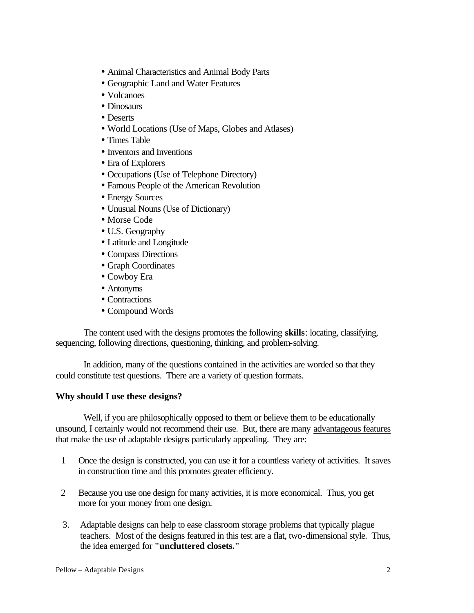- Animal Characteristics and Animal Body Parts
- Geographic Land and Water Features
- Volcanoes
- Dinosaurs
- Deserts
- World Locations (Use of Maps, Globes and Atlases)
- Times Table
- Inventors and Inventions
- Era of Explorers
- Occupations (Use of Telephone Directory)
- Famous People of the American Revolution
- Energy Sources
- Unusual Nouns (Use of Dictionary)
- Morse Code
- U.S. Geography
- Latitude and Longitude
- Compass Directions
- Graph Coordinates
- Cowboy Era
- Antonyms
- Contractions
- Compound Words

The content used with the designs promotes the following **skills**: locating, classifying, sequencing, following directions, questioning, thinking, and problem-solving.

In addition, many of the questions contained in the activities are worded so that they could constitute test questions. There are a variety of question formats.

#### **Why should I use these designs?**

Well, if you are philosophically opposed to them or believe them to be educationally unsound, I certainly would not recommend their use. But, there are many advantageous features that make the use of adaptable designs particularly appealing. They are:

- 1 Once the design is constructed, you can use it for a countless variety of activities. It saves in construction time and this promotes greater efficiency.
- 2 Because you use one design for many activities, it is more economical. Thus, you get more for your money from one design.
- 3. Adaptable designs can help to ease classroom storage problems that typically plague teachers. Most of the designs featured in this test are a flat, two-dimensional style. Thus, the idea emerged for **"uncluttered closets."**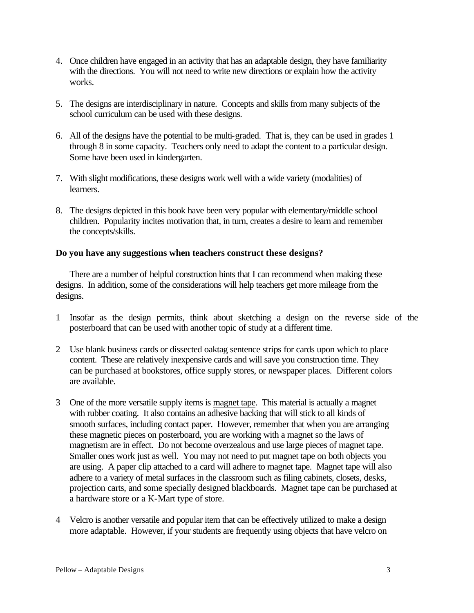- 4. Once children have engaged in an activity that has an adaptable design, they have familiarity with the directions. You will not need to write new directions or explain how the activity works.
- 5. The designs are interdisciplinary in nature. Concepts and skills from many subjects of the school curriculum can be used with these designs.
- 6. All of the designs have the potential to be multi-graded. That is, they can be used in grades 1 through 8 in some capacity. Teachers only need to adapt the content to a particular design. Some have been used in kindergarten.
- 7. With slight modifications, these designs work well with a wide variety (modalities) of learners.
- 8. The designs depicted in this book have been very popular with elementary/middle school children. Popularity incites motivation that, in turn, creates a desire to learn and remember the concepts/skills.

#### **Do you have any suggestions when teachers construct these designs?**

There are a number of helpful construction hints that I can recommend when making these designs. In addition, some of the considerations will help teachers get more mileage from the designs.

- 1 Insofar as the design permits, think about sketching a design on the reverse side of the posterboard that can be used with another topic of study at a different time.
- 2 Use blank business cards or dissected oaktag sentence strips for cards upon which to place content. These are relatively inexpensive cards and will save you construction time. They can be purchased at bookstores, office supply stores, or newspaper places. Different colors are available.
- 3 One of the more versatile supply items is magnet tape. This material is actually a magnet with rubber coating. It also contains an adhesive backing that will stick to all kinds of smooth surfaces, including contact paper. However, remember that when you are arranging these magnetic pieces on posterboard, you are working with a magnet so the laws of magnetism are in effect. Do not become overzealous and use large pieces of magnet tape. Smaller ones work just as well. You may not need to put magnet tape on both objects you are using. A paper clip attached to a card will adhere to magnet tape. Magnet tape will also adhere to a variety of metal surfaces in the classroom such as filing cabinets, closets, desks, projection carts, and some specially designed blackboards. Magnet tape can be purchased at a hardware store or a K-Mart type of store.
- 4 Velcro is another versatile and popular item that can be effectively utilized to make a design more adaptable. However, if your students are frequently using objects that have velcro on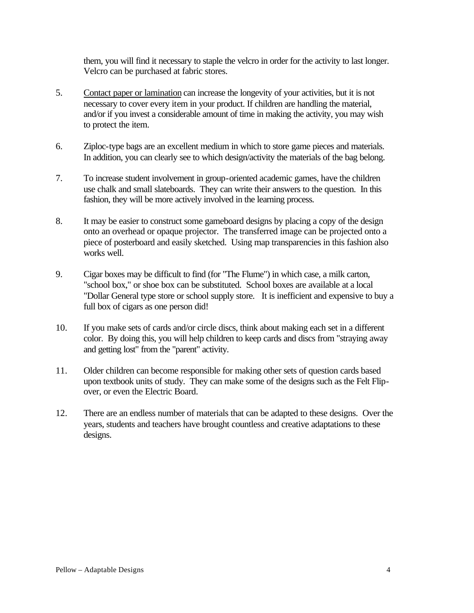them, you will find it necessary to staple the velcro in order for the activity to last longer. Velcro can be purchased at fabric stores.

- 5. Contact paper or lamination can increase the longevity of your activities, but it is not necessary to cover every item in your product. If children are handling the material, and/or if you invest a considerable amount of time in making the activity, you may wish to protect the item.
- 6. Ziploc-type bags are an excellent medium in which to store game pieces and materials. In addition, you can clearly see to which design/activity the materials of the bag belong.
- 7. To increase student involvement in group-oriented academic games, have the children use chalk and small slateboards. They can write their answers to the question. In this fashion, they will be more actively involved in the learning process.
- 8. It may be easier to construct some gameboard designs by placing a copy of the design onto an overhead or opaque projector. The transferred image can be projected onto a piece of posterboard and easily sketched. Using map transparencies in this fashion also works well.
- 9. Cigar boxes may be difficult to find (for "The Flume") in which case, a milk carton, "school box," or shoe box can be substituted. School boxes are available at a local "Dollar General type store or school supply store. It is inefficient and expensive to buy a full box of cigars as one person did!
- 10. If you make sets of cards and/or circle discs, think about making each set in a different color. By doing this, you will help children to keep cards and discs from "straying away and getting lost" from the "parent" activity.
- 11. Older children can become responsible for making other sets of question cards based upon textbook units of study. They can make some of the designs such as the Felt Flipover, or even the Electric Board.
- 12. There are an endless number of materials that can be adapted to these designs. Over the years, students and teachers have brought countless and creative adaptations to these designs.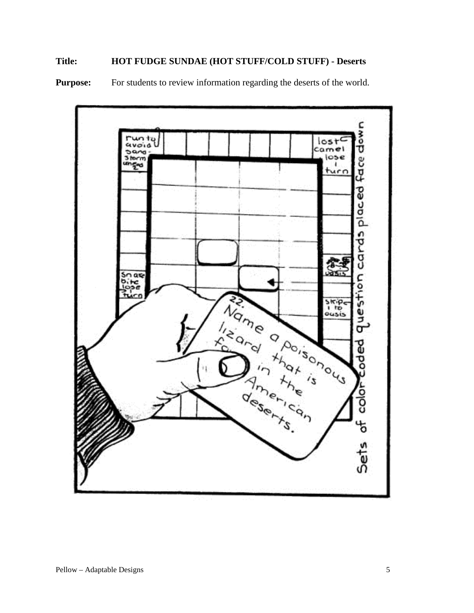## **Title: HOT FUDGE SUNDAE (HOT STUFF/COLD STUFF) - Deserts**

**Purpose:** For students to review information regarding the deserts of the world.

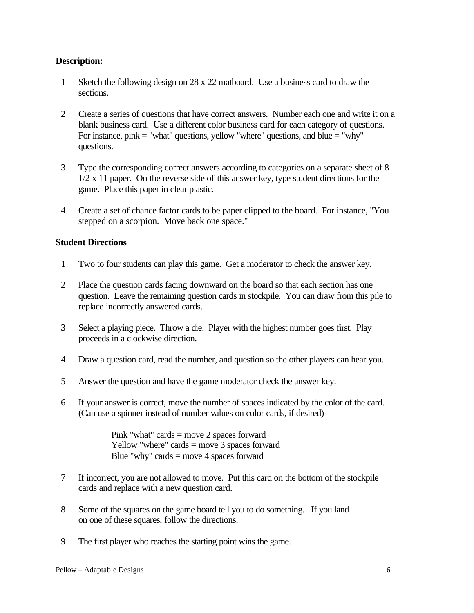#### **Description:**

- 1 Sketch the following design on 28 x 22 matboard. Use a business card to draw the sections.
- 2 Create a series of questions that have correct answers. Number each one and write it on a blank business card. Use a different color business card for each category of questions. For instance, pink  $=$  "what" questions, yellow "where" questions, and blue  $=$  "why" questions.
- 3 Type the corresponding correct answers according to categories on a separate sheet of 8 1/2 x 11 paper. On the reverse side of this answer key, type student directions for the game. Place this paper in clear plastic.
- 4 Create a set of chance factor cards to be paper clipped to the board. For instance, "You stepped on a scorpion. Move back one space."

#### **Student Directions**

- 1 Two to four students can play this game. Get a moderator to check the answer key.
- 2 Place the question cards facing downward on the board so that each section has one question. Leave the remaining question cards in stockpile. You can draw from this pile to replace incorrectly answered cards.
- 3 Select a playing piece. Throw a die. Player with the highest number goes first. Play proceeds in a clockwise direction.
- 4 Draw a question card, read the number, and question so the other players can hear you.
- 5 Answer the question and have the game moderator check the answer key.
- 6 If your answer is correct, move the number of spaces indicated by the color of the card. (Can use a spinner instead of number values on color cards, if desired)

Pink "what" cards = move 2 spaces forward Yellow "where" cards = move 3 spaces forward Blue "why" cards  $=$  move 4 spaces forward

- 7 If incorrect, you are not allowed to move. Put this card on the bottom of the stockpile cards and replace with a new question card.
- 8 Some of the squares on the game board tell you to do something. If you land on one of these squares, follow the directions.
- 9 The first player who reaches the starting point wins the game.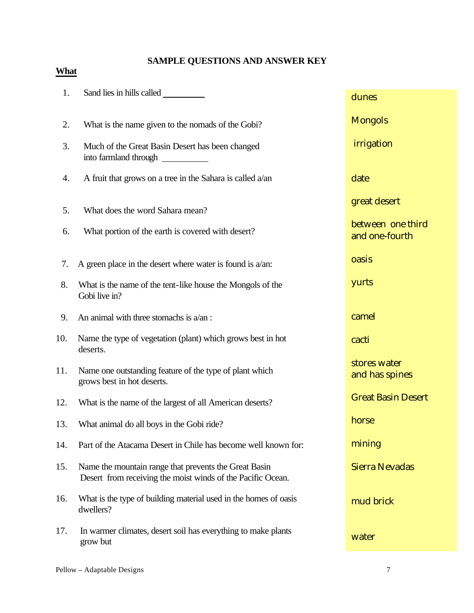## **SAMPLE QUESTIONS AND ANSWER KEY**

## **What**

| 1.  | Sand lies in hills called                                                                                            | dunes                               |
|-----|----------------------------------------------------------------------------------------------------------------------|-------------------------------------|
| 2.  | What is the name given to the nomads of the Gobi?                                                                    | <b>Mongols</b>                      |
| 3.  | Much of the Great Basin Desert has been changed<br>into farmland through                                             | irrigation                          |
| 4.  | A fruit that grows on a tree in the Sahara is called $a$ /an                                                         | date                                |
| 5.  | What does the word Sahara mean?                                                                                      | great desert                        |
| 6.  | What portion of the earth is covered with desert?                                                                    | between one third<br>and one-fourth |
| 7.  | A green place in the desert where water is found is $a$ /an:                                                         | oasis                               |
| 8.  | What is the name of the tent-like house the Mongols of the<br>Gobi live in?                                          | yurts                               |
| 9.  | An animal with three stomachs is $a/an$ :                                                                            | camel                               |
| 10. | Name the type of vegetation (plant) which grows best in hot<br>deserts.                                              | cacti                               |
| 11. | Name one outstanding feature of the type of plant which<br>grows best in hot deserts.                                | stores water<br>and has spines      |
| 12. | What is the name of the largest of all American deserts?                                                             | <b>Great Basin Desert</b>           |
| 13. | What animal do all boys in the Gobi ride?                                                                            | horse                               |
| 14. | Part of the Atacama Desert in Chile has become well known for:                                                       | mining                              |
| 15. | Name the mountain range that prevents the Great Basin<br>Desert from receiving the moist winds of the Pacific Ocean. | <b>Sierra Nevadas</b>               |
| 16. | What is the type of building material used in the homes of oasis<br>dwellers?                                        | mud brick                           |
| 17. | In warmer climates, desert soil has everything to make plants<br>grow but                                            | water                               |
|     |                                                                                                                      |                                     |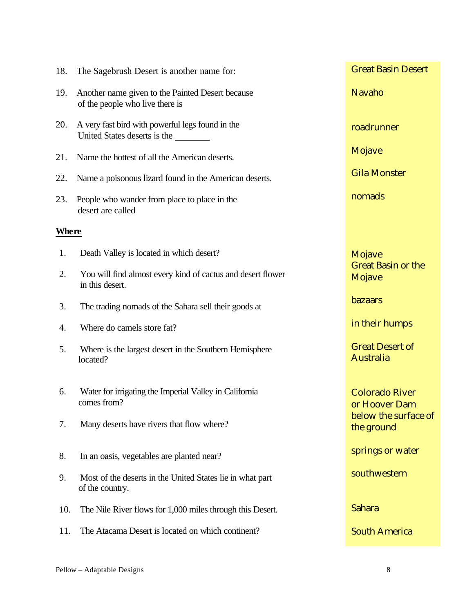| 18.          | The Sagebrush Desert is another name for:                                           | <b>Great Basin Desert</b>                                      |
|--------------|-------------------------------------------------------------------------------------|----------------------------------------------------------------|
| 19.          | Another name given to the Painted Desert because<br>of the people who live there is | <b>Navaho</b>                                                  |
| 20.          | A very fast bird with powerful legs found in the<br>United States deserts is the    | roadrunner                                                     |
| 21.          | Name the hottest of all the American deserts.                                       | Mojave                                                         |
| 22.          | Name a poisonous lizard found in the American deserts.                              | <b>Gila Monster</b>                                            |
| 23.          | People who wander from place to place in the<br>desert are called                   | nomads                                                         |
| <b>Where</b> |                                                                                     |                                                                |
| 1.           | Death Valley is located in which desert?                                            | Mojave                                                         |
| 2.           | You will find almost every kind of cactus and desert flower<br>in this desert.      | <b>Great Basin or the</b><br>Mojave                            |
| 3.           | The trading nomads of the Sahara sell their goods at                                | bazaars                                                        |
| 4.           | Where do camels store fat?                                                          | in their humps                                                 |
| 5.           | Where is the largest desert in the Southern Hemisphere<br>located?                  | <b>Great Desert of</b><br>Australia                            |
| 6.           | Water for irrigating the Imperial Valley in California<br>comes from?               | <b>Colorado River</b><br>or Hoover Dam<br>below the surface of |
| 7.           | Many deserts have rivers that flow where?                                           | the ground                                                     |
| 8.           | In an oasis, vegetables are planted near?                                           | springs or water                                               |
| 9.           | Most of the deserts in the United States lie in what part<br>of the country.        | southwestern                                                   |
| 10.          | The Nile River flows for 1,000 miles through this Desert.                           | Sahara                                                         |
| 11.          | The Atacama Desert is located on which continent?                                   | <b>South America</b>                                           |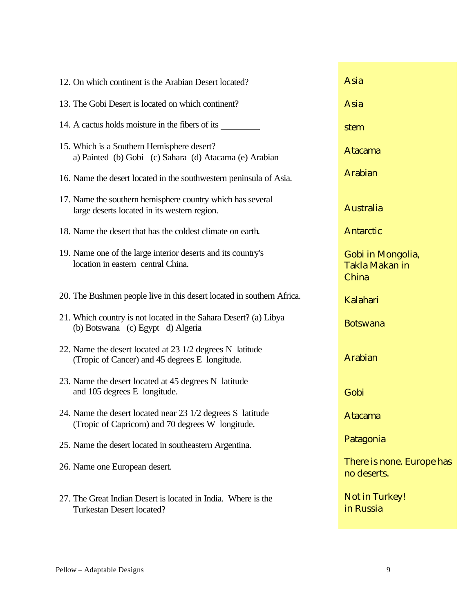| 12. On which continent is the Arabian Desert located?                                                           | Asia                                                |
|-----------------------------------------------------------------------------------------------------------------|-----------------------------------------------------|
| 13. The Gobi Desert is located on which continent?                                                              | Asia                                                |
| 14. A cactus holds moisture in the fibers of its                                                                | stem                                                |
| 15. Which is a Southern Hemisphere desert?<br>a) Painted (b) Gobi (c) Sahara (d) Atacama (e) Arabian            | <b>Atacama</b>                                      |
| 16. Name the desert located in the southwestern peninsula of Asia.                                              | <b>Arabian</b>                                      |
| 17. Name the southern hemisphere country which has several<br>large deserts located in its western region.      | Australia                                           |
| 18. Name the desert that has the coldest climate on earth.                                                      | <b>Antarctic</b>                                    |
| 19. Name one of the large interior deserts and its country's<br>location in eastern central China.              | Gobi in Mongolia,<br><b>Takla Makan in</b><br>China |
| 20. The Bushmen people live in this desert located in southern Africa.                                          | Kalahari                                            |
| 21. Which country is not located in the Sahara Desert? (a) Libya<br>(b) Botswana (c) Egypt d) Algeria           | <b>Botswana</b>                                     |
| 22. Name the desert located at 23 1/2 degrees N latitude<br>(Tropic of Cancer) and 45 degrees E longitude.      | <b>Arabian</b>                                      |
| 23. Name the desert located at 45 degrees N latitude<br>and 105 degrees E longitude.                            | Gobi                                                |
| 24. Name the desert located near 23 1/2 degrees S latitude<br>(Tropic of Capricorn) and 70 degrees W longitude. | <b>Atacama</b>                                      |
| 25. Name the desert located in southeastern Argentina.                                                          | Patagonia                                           |
| 26. Name one European desert.                                                                                   | There is none. Europe has<br>no deserts.            |
| 27. The Great Indian Desert is located in India. Where is the<br><b>Turkestan Desert located?</b>               | <b>Not in Turkey!</b><br>in Russia                  |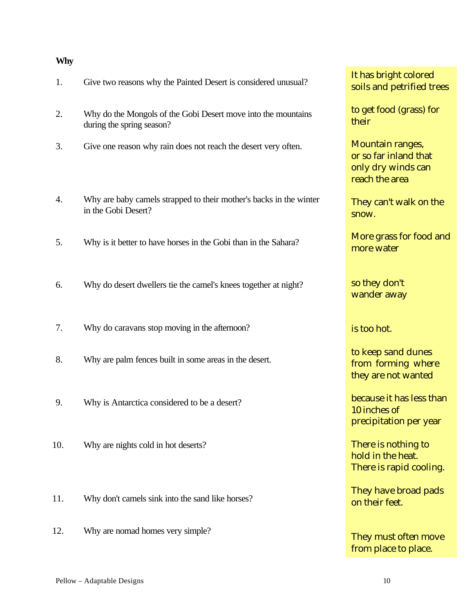#### **Why**

| 1.  | Give two reasons why the Painted Desert is considered unusual?                             | It has bright col<br>soils and petrif                                  |
|-----|--------------------------------------------------------------------------------------------|------------------------------------------------------------------------|
| 2.  | Why do the Mongols of the Gobi Desert move into the mountains<br>during the spring season? | to get food (gra<br>their                                              |
| 3.  | Give one reason why rain does not reach the desert very often.                             | Mountain range<br>or so far inland<br>only dry winds<br>reach the area |
| 4.  | Why are baby camels strapped to their mother's backs in the winter<br>in the Gobi Desert?  | They can't walk<br>snow.                                               |
| 5.  | Why is it better to have horses in the Gobi than in the Sahara?                            | More grass for<br>more water                                           |
| 6.  | Why do desert dwellers tie the camel's knees together at night?                            | so they don't<br>wander away                                           |
| 7.  | Why do caravans stop moving in the afternoon?                                              | is too hot.                                                            |
| 8.  | Why are palm fences built in some areas in the desert.                                     | to keep sand di<br>from forming<br>they are not wa                     |
| 9.  | Why is Antarctica considered to be a desert?                                               | because it has l<br>10 inches of<br>precipitation po                   |
| 10. | Why are nights cold in hot deserts?                                                        | There is nothin<br>hold in the heat<br>There is rapid o                |
| 11. | Why don't camels sink into the sand like horses?                                           | They have broa<br>on their feet.                                       |
| 12. | Why are nomad homes very simple?                                                           | They must ofte                                                         |

It has bright colored soils and petrified trees

to get food (grass) for their

Mountain ranges, or so far inland that only dry winds can reach the area

They can't walk on the snow.

More grass for food and more water

to keep sand dunes from forming where they are not wanted

because it has less than 10 inches of precipitation per year

There is nothing to hold in the heat. There is rapid cooling.

They have broad pads on their feet.

They must often move from place to place.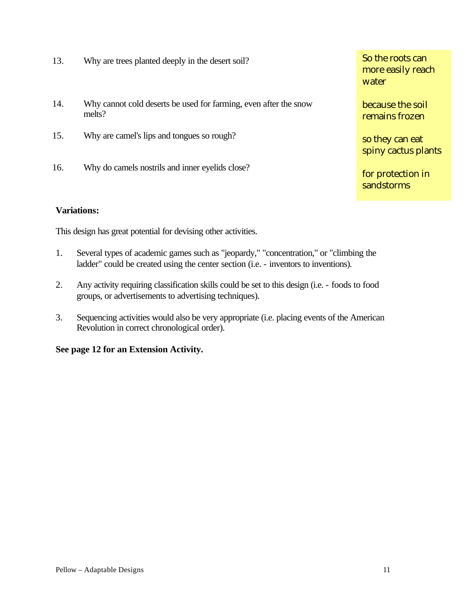- 13. Why are trees planted deeply in the desert soil?
- 14. Why cannot cold deserts be used for farming, even after the snow melts?
- 15. Why are camel's lips and tongues so rough?
- 16. Why do camels nostrils and inner eyelids close?

**Variations:**

This design has great potential for devising other activities.

- 1. Several types of academic games such as "jeopardy," "concentration," or "climbing the ladder" could be created using the center section (i.e. - inventors to inventions).
- 2. Any activity requiring classification skills could be set to this design (i.e. foods to food groups, or advertisements to advertising techniques).
- 3. Sequencing activities would also be very appropriate (i.e. placing events of the American Revolution in correct chronological order).

#### **See page 12 for an Extension Activity.**

So the roots can more easily reach water

because the soil remains frozen

so they can eat spiny cactus plants

for protection in sandstorms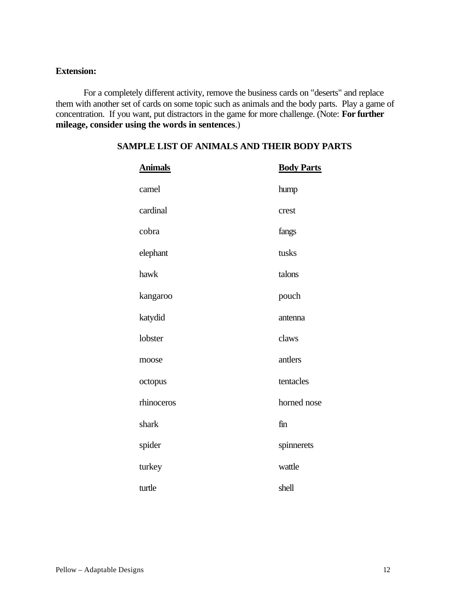#### **Extension:**

For a completely different activity, remove the business cards on "deserts" and replace them with another set of cards on some topic such as animals and the body parts. Play a game of concentration. If you want, put distractors in the game for more challenge. (Note: **For further mileage, consider using the words in sentences**.)

| <b>Animals</b> | <b>Body Parts</b> |
|----------------|-------------------|
| camel          | hump              |
| cardinal       | crest             |
| cobra          | fangs             |
| elephant       | tusks             |
| hawk           | talons            |
| kangaroo       | pouch             |
| katydid        | antenna           |
| lobster        | claws             |
| moose          | antlers           |
| octopus        | tentacles         |
| rhinoceros     | horned nose       |
| shark          | fin               |
| spider         | spinnerets        |
| turkey         | wattle            |
| turtle         | shell             |

#### **SAMPLE LIST OF ANIMALS AND THEIR BODY PARTS**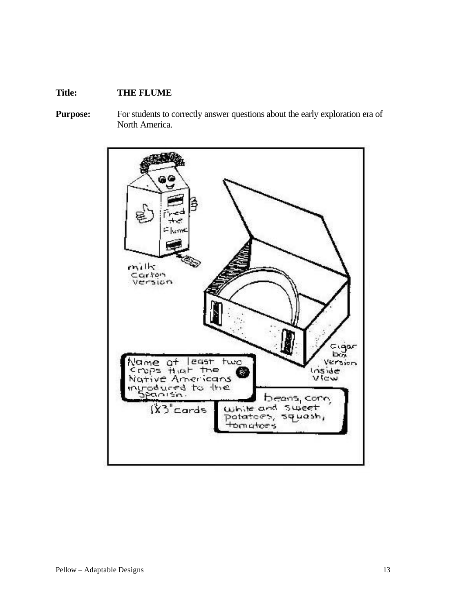## **Title: THE FLUME**

Purpose: For students to correctly answer questions about the early exploration era of North America.

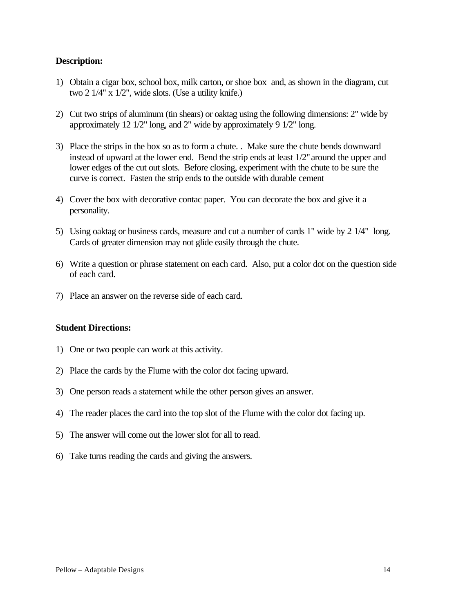#### **Description:**

- 1) Obtain a cigar box, school box, milk carton, or shoe box and, as shown in the diagram, cut two 2 1/4" x 1/2", wide slots. (Use a utility knife.)
- 2) Cut two strips of aluminum (tin shears) or oaktag using the following dimensions: 2" wide by approximately 12 1/2" long, and 2" wide by approximately 9 1/2" long.
- 3) Place the strips in the box so as to form a chute. . Make sure the chute bends downward instead of upward at the lower end. Bend the strip ends at least  $1/2$ " around the upper and lower edges of the cut out slots. Before closing, experiment with the chute to be sure the curve is correct. Fasten the strip ends to the outside with durable cement
- 4) Cover the box with decorative contac paper. You can decorate the box and give it a personality.
- 5) Using oaktag or business cards, measure and cut a number of cards 1" wide by 2 1/4" long. Cards of greater dimension may not glide easily through the chute.
- 6) Write a question or phrase statement on each card. Also, put a color dot on the question side of each card.
- 7) Place an answer on the reverse side of each card.

#### **Student Directions:**

- 1) One or two people can work at this activity.
- 2) Place the cards by the Flume with the color dot facing upward.
- 3) One person reads a statement while the other person gives an answer.
- 4) The reader places the card into the top slot of the Flume with the color dot facing up.
- 5) The answer will come out the lower slot for all to read.
- 6) Take turns reading the cards and giving the answers.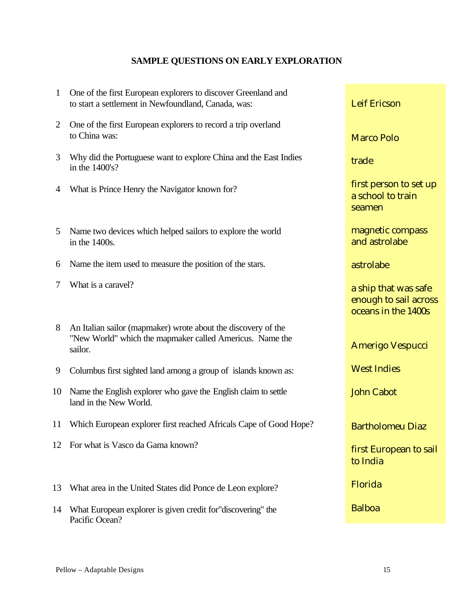## **SAMPLE QUESTIONS ON EARLY EXPLORATION**

| $\mathbf{1}$ | One of the first European explorers to discover Greenland and<br>to start a settlement in Newfoundland, Canada, was:                 | <b>Leif Ericson</b>                                                  |
|--------------|--------------------------------------------------------------------------------------------------------------------------------------|----------------------------------------------------------------------|
| 2            | One of the first European explorers to record a trip overland<br>to China was:                                                       | <b>Marco Polo</b>                                                    |
| 3            | Why did the Portuguese want to explore China and the East Indies<br>in the 1400's?                                                   | trade                                                                |
| 4            | What is Prince Henry the Navigator known for?                                                                                        | first person to set up<br>a school to train<br>seamen                |
| 5            | Name two devices which helped sailors to explore the world<br>in the 1400s.                                                          | magnetic compass<br>and astrolabe                                    |
| 6            | Name the item used to measure the position of the stars.                                                                             | astrolabe                                                            |
| 7            | What is a caravel?                                                                                                                   | a ship that was safe<br>enough to sail across<br>oceans in the 1400s |
| 8            | An Italian sailor (mapmaker) wrote about the discovery of the<br>"New World" which the mapmaker called Americus. Name the<br>sailor. | <b>Amerigo Vespucci</b>                                              |
| 9            | Columbus first sighted land among a group of islands known as:                                                                       | <b>West Indies</b>                                                   |
| 10           | Name the English explorer who gave the English claim to settle<br>land in the New World.                                             | <b>John Cabot</b>                                                    |
|              | 11 Which European explorer first reached Africals Cape of Good Hope?                                                                 | <b>Bartholomeu Diaz</b>                                              |
|              | 12 For what is Vasco da Gama known?                                                                                                  | first European to sail<br>to India                                   |
| 13           | What area in the United States did Ponce de Leon explore?                                                                            | Florida                                                              |
| 14           | What European explorer is given credit for "discovering" the<br>Pacific Ocean?                                                       | <b>Balboa</b>                                                        |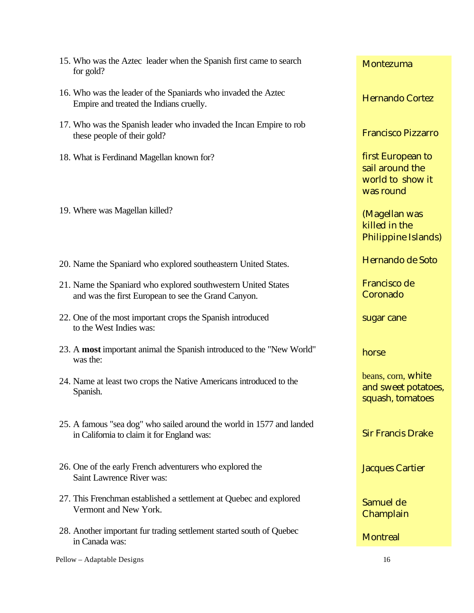| 15. Who was the Aztec leader when the Spanish first came to search<br>for gold?                                      | Montezuma                                                             |
|----------------------------------------------------------------------------------------------------------------------|-----------------------------------------------------------------------|
| 16. Who was the leader of the Spaniards who invaded the Aztec<br>Empire and treated the Indians cruelly.             | <b>Hernando Cortez</b>                                                |
| 17. Who was the Spanish leader who invaded the Incan Empire to rob<br>these people of their gold?                    | <b>Francisco Pizzarro</b>                                             |
| 18. What is Ferdinand Magellan known for?                                                                            | first European to<br>sail around the<br>world to show it<br>was round |
| 19. Where was Magellan killed?                                                                                       | (Magellan was<br>killed in the<br>Philippine Islands)                 |
| 20. Name the Spaniard who explored southeastern United States.                                                       | Hernando de Soto                                                      |
| 21. Name the Spaniard who explored southwestern United States<br>and was the first European to see the Grand Canyon. | Francisco de<br>Coronado                                              |
| 22. One of the most important crops the Spanish introduced<br>to the West Indies was:                                | sugar cane                                                            |
| 23. A most important animal the Spanish introduced to the "New World"<br>was the:                                    | horse                                                                 |
| 24. Name at least two crops the Native Americans introduced to the<br>Spanish.                                       | beans, corn, white<br>and sweet potatoes,<br>squash, tomatoes         |
| 25. A famous "sea dog" who sailed around the world in 1577 and landed<br>in California to claim it for England was:  | <b>Sir Francis Drake</b>                                              |
| 26. One of the early French adventurers who explored the<br>Saint Lawrence River was:                                | <b>Jacques Cartier</b>                                                |
| 27. This Frenchman established a settlement at Quebec and explored<br>Vermont and New York.                          | Samuel de<br>Champlain                                                |
| 28. Another important fur trading settlement started south of Quebec<br>in Canada was:                               | <b>Montreal</b>                                                       |
| Pellow - Adaptable Designs                                                                                           | 16                                                                    |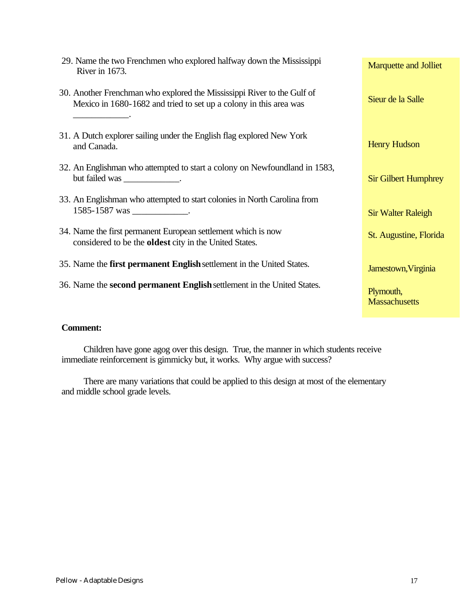| 29. Name the two Frenchmen who explored halfway down the Mississippi<br>River in 1673.                                                       | <b>Marquette and Jolliet</b>      |
|----------------------------------------------------------------------------------------------------------------------------------------------|-----------------------------------|
| 30. Another Frenchman who explored the Mississippi River to the Gulf of<br>Mexico in 1680-1682 and tried to set up a colony in this area was | Sieur de la Salle                 |
| 31. A Dutch explorer sailing under the English flag explored New York<br>and Canada.                                                         | <b>Henry Hudson</b>               |
| 32. An Englishman who attempted to start a colony on Newfoundland in 1583,<br>but failed was _______________.                                | <b>Sir Gilbert Humphrey</b>       |
| 33. An Englishman who attempted to start colonies in North Carolina from                                                                     |                                   |
| 1585-1587 was ______________.                                                                                                                | <b>Sir Walter Raleigh</b>         |
| 34. Name the first permanent European settlement which is now<br>considered to be the <b>oldest</b> city in the United States.               | St. Augustine, Florida            |
| 35. Name the <b>first permanent English</b> settlement in the United States.                                                                 | Jamestown, Virginia               |
| 36. Name the second permanent English settlement in the United States.                                                                       | Plymouth,<br><b>Massachusetts</b> |

#### **Comment:**

Children have gone agog over this design. True, the manner in which students receive immediate reinforcement is gimmicky but, it works. Why argue with success?

There are many variations that could be applied to this design at most of the elementary and middle school grade levels.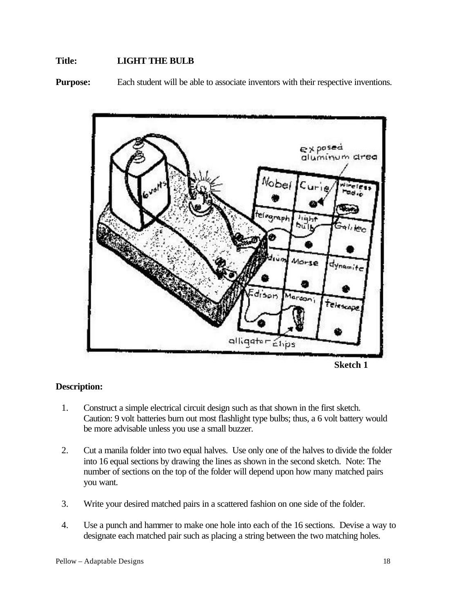#### **Title: LIGHT THE BULB**

**Purpose:** Each student will be able to associate inventors with their respective inventions.



#### **Description:**

- 1. Construct a simple electrical circuit design such as that shown in the first sketch. Caution: 9 volt batteries burn out most flashlight type bulbs; thus, a 6 volt battery would be more advisable unless you use a small buzzer.
- 2. Cut a manila folder into two equal halves. Use only one of the halves to divide the folder into 16 equal sections by drawing the lines as shown in the second sketch. Note: The number of sections on the top of the folder will depend upon how many matched pairs you want.
- 3. Write your desired matched pairs in a scattered fashion on one side of the folder.
- 4. Use a punch and hammer to make one hole into each of the 16 sections. Devise a way to designate each matched pair such as placing a string between the two matching holes.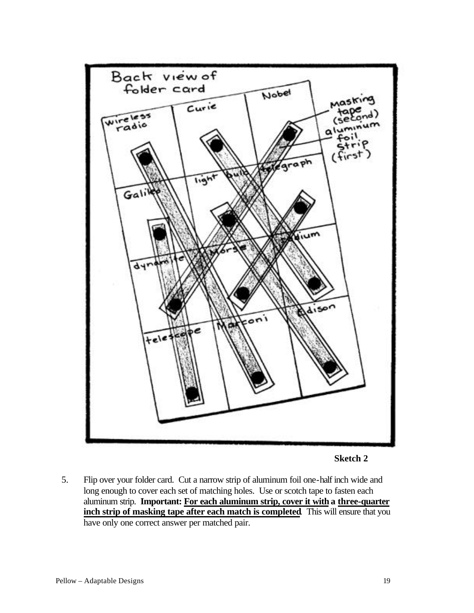



5. Flip over your folder card. Cut a narrow strip of aluminum foil one-half inch wide and long enough to cover each set of matching holes. Use or scotch tape to fasten each aluminum strip. **Important: For each aluminum strip, cover it with a three-quarter inch strip of masking tape after each match is completed**. This will ensure that you have only one correct answer per matched pair.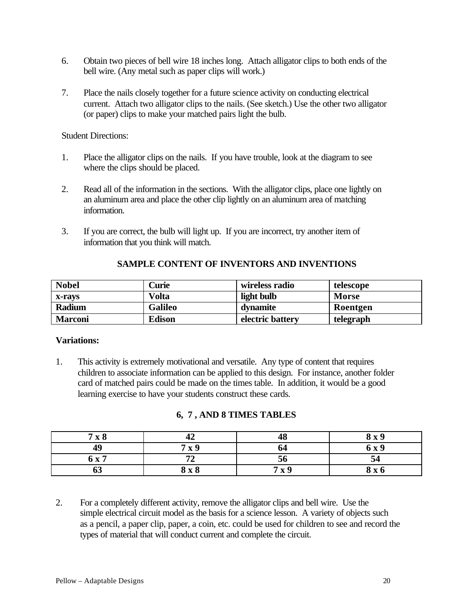- 6. Obtain two pieces of bell wire 18 inches long. Attach alligator clips to both ends of the bell wire. (Any metal such as paper clips will work.)
- 7. Place the nails closely together for a future science activity on conducting electrical current. Attach two alligator clips to the nails. (See sketch.) Use the other two alligator (or paper) clips to make your matched pairs light the bulb.

Student Directions:

- 1. Place the alligator clips on the nails. If you have trouble, look at the diagram to see where the clips should be placed.
- 2. Read all of the information in the sections. With the alligator clips, place one lightly on an aluminum area and place the other clip lightly on an aluminum area of matching information.
- 3. If you are correct, the bulb will light up. If you are incorrect, try another item of information that you think will match.

| <b>Nobel</b>   | Curie          | wireless radio   | telescope    |
|----------------|----------------|------------------|--------------|
| x-ravs         | Volta          | light bulb       | <b>Morse</b> |
| Radium         | <b>Galileo</b> | dynamite         | Roentgen     |
| <b>Marconi</b> | <b>Edison</b>  | electric battery | telegraph    |

#### **SAMPLE CONTENT OF INVENTORS AND INVENTIONS**

#### **Variations:**

1. This activity is extremely motivational and versatile. Any type of content that requires children to associate information can be applied to this design. For instance, another folder card of matched pairs could be made on the times table. In addition, it would be a good learning exercise to have your students construct these cards.

## **6, 7 , AND 8 TIMES TABLES**

| 7x8   |       | 48  | 8 x 9 |
|-------|-------|-----|-------|
| 49    | 7x9   | 64  | 6 x 9 |
| 6 x 7 | mΛ    | 56  | 54    |
| VJ    | 8 x 8 | 7x9 | 8 x 6 |

2. For a completely different activity, remove the alligator clips and bell wire. Use the simple electrical circuit model as the basis for a science lesson. A variety of objects such as a pencil, a paper clip, paper, a coin, etc. could be used for children to see and record the types of material that will conduct current and complete the circuit.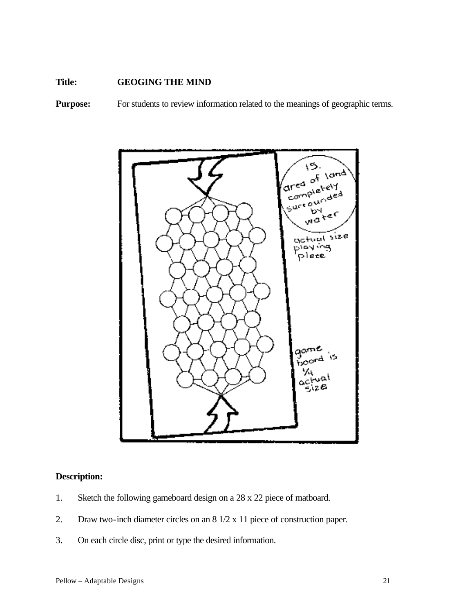#### **Title: GEOGING THE MIND**

**Purpose:** For students to review information related to the meanings of geographic terms.



## **Description:**

- 1. Sketch the following gameboard design on a 28 x 22 piece of matboard.
- 2. Draw two-inch diameter circles on an 8 1/2 x 11 piece of construction paper.
- 3. On each circle disc, print or type the desired information.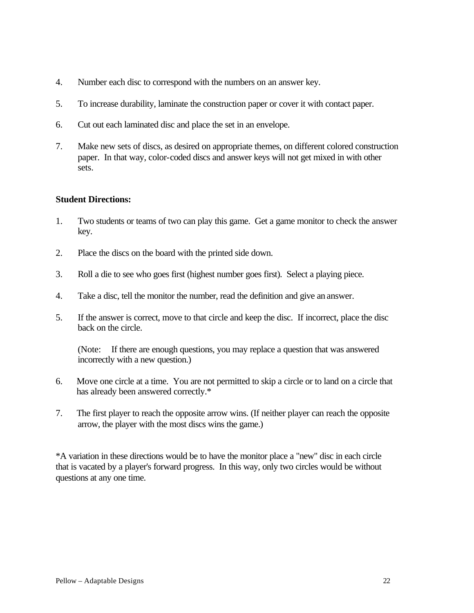- 4. Number each disc to correspond with the numbers on an answer key.
- 5. To increase durability, laminate the construction paper or cover it with contact paper.
- 6. Cut out each laminated disc and place the set in an envelope.
- 7. Make new sets of discs, as desired on appropriate themes, on different colored construction paper. In that way, color-coded discs and answer keys will not get mixed in with other sets.

#### **Student Directions:**

- 1. Two students or teams of two can play this game. Get a game monitor to check the answer key.
- 2. Place the discs on the board with the printed side down.
- 3. Roll a die to see who goes first (highest number goes first). Select a playing piece.
- 4. Take a disc, tell the monitor the number, read the definition and give an answer.
- 5. If the answer is correct, move to that circle and keep the disc. If incorrect, place the disc back on the circle.

(Note: If there are enough questions, you may replace a question that was answered incorrectly with a new question.)

- 6. Move one circle at a time. You are not permitted to skip a circle or to land on a circle that has already been answered correctly.\*
- 7. The first player to reach the opposite arrow wins. (If neither player can reach the opposite arrow, the player with the most discs wins the game.)

\*A variation in these directions would be to have the monitor place a "new" disc in each circle that is vacated by a player's forward progress. In this way, only two circles would be without questions at any one time.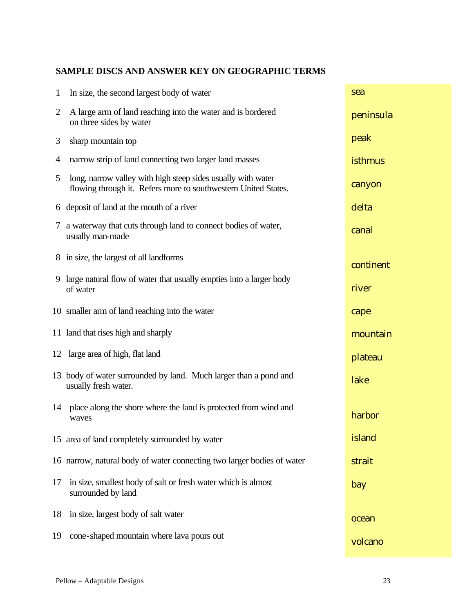## **SAMPLE DISCS AND ANSWER KEY ON GEOGRAPHIC TERMS**

| $\mathbf{1}$ | In size, the second largest body of water                                                                                      | sea       |
|--------------|--------------------------------------------------------------------------------------------------------------------------------|-----------|
| 2            | A large arm of land reaching into the water and is bordered<br>on three sides by water                                         | peninsula |
| 3            | sharp mountain top                                                                                                             | peak      |
| 4            | narrow strip of land connecting two larger land masses                                                                         | isthmus   |
| 5            | long, narrow valley with high steep sides usually with water<br>flowing through it. Refers more to southwestern United States. | canyon    |
|              | 6 deposit of land at the mouth of a river                                                                                      | delta     |
| 7            | a waterway that cuts through land to connect bodies of water,<br>usually man-made                                              | canal     |
|              | 8 in size, the largest of all landforms                                                                                        | continent |
|              | 9 large natural flow of water that usually empties into a larger body<br>of water                                              | river     |
|              | 10 smaller arm of land reaching into the water                                                                                 | cape      |
|              | 11 land that rises high and sharply                                                                                            | mountain  |
|              | 12 large area of high, flat land                                                                                               | plateau   |
|              | 13 body of water surrounded by land. Much larger than a pond and<br>usually fresh water.                                       | lake      |
|              | 14 place along the shore where the land is protected from wind and<br>waves                                                    | harbor    |
|              | 15 area of land completely surrounded by water                                                                                 | island    |
|              | 16 narrow, natural body of water connecting two larger bodies of water                                                         | strait    |
| 17           | in size, smallest body of salt or fresh water which is almost<br>surrounded by land                                            | bay       |
| 18           | in size, largest body of salt water                                                                                            | ocean     |
| 19           | cone-shaped mountain where lava pours out                                                                                      | volcano   |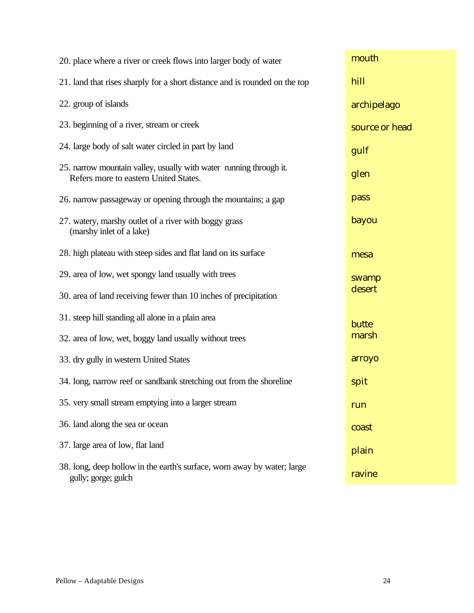| 20. place where a river or creek flows into larger body of water                                            | mouth          |
|-------------------------------------------------------------------------------------------------------------|----------------|
| 21. land that rises sharply for a short distance and is rounded on the top                                  | hill           |
| 22. group of islands                                                                                        | archipelago    |
| 23. beginning of a river, stream or creek                                                                   | source or head |
| 24. large body of salt water circled in part by land                                                        | gulf           |
| 25. narrow mountain valley, usually with water running through it.<br>Refers more to eastern United States. | glen           |
| 26. narrow passageway or opening through the mountains; a gap                                               | pass           |
| 27. watery, marshy outlet of a river with boggy grass<br>(marshy inlet of a lake)                           | bayou          |
| 28. high plateau with steep sides and flat land on its surface                                              | mesa           |
| 29. area of low, wet spongy land usually with trees                                                         | swamp          |
| 30. area of land receiving fewer than 10 inches of precipitation                                            | desert         |
| 31. steep hill standing all alone in a plain area                                                           | butte          |
| 32. area of low, wet, boggy land usually without trees                                                      | marsh          |
| 33. dry gully in western United States                                                                      | arroyo         |
| 34. long, narrow reef or sandbank stretching out from the shoreline                                         | spit           |
| 35. very small stream emptying into a larger stream                                                         | run            |
| 36. land along the sea or ocean                                                                             | coast          |
| 37. large area of low, flat land                                                                            | plain          |
| 38. long, deep hollow in the earth's surface, worn away by water; large<br>gully; gorge; gulch              | ravine         |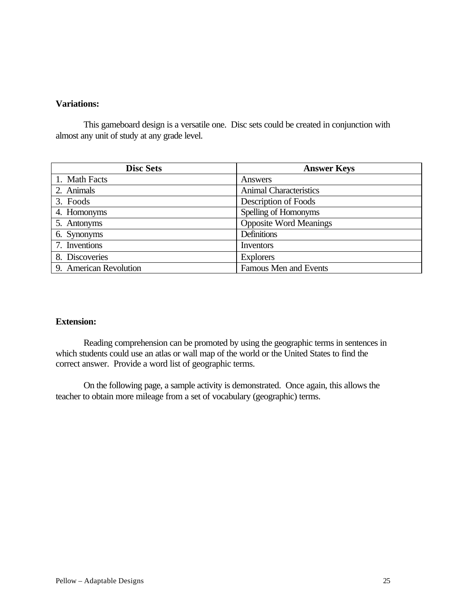#### **Variations:**

This gameboard design is a versatile one. Disc sets could be created in conjunction with almost any unit of study at any grade level.

| <b>Disc Sets</b>       | <b>Answer Keys</b>            |
|------------------------|-------------------------------|
| 1. Math Facts          | Answers                       |
| 2. Animals             | <b>Animal Characteristics</b> |
| 3. Foods               | Description of Foods          |
| 4. Homonyms            | Spelling of Homonyms          |
| 5. Antonyms            | <b>Opposite Word Meanings</b> |
| 6. Synonyms            | Definitions                   |
| 7. Inventions          | Inventors                     |
| 8. Discoveries         | <b>Explorers</b>              |
| 9. American Revolution | Famous Men and Events         |

#### **Extension:**

Reading comprehension can be promoted by using the geographic terms in sentences in which students could use an atlas or wall map of the world or the United States to find the correct answer. Provide a word list of geographic terms.

On the following page, a sample activity is demonstrated. Once again, this allows the teacher to obtain more mileage from a set of vocabulary (geographic) terms.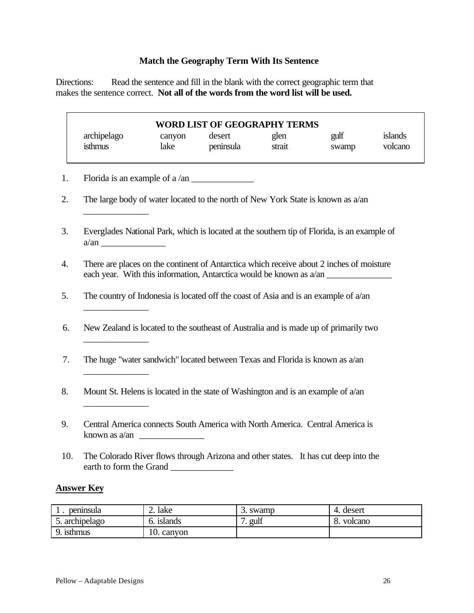## **Match the Geography Term With Its Sentence**

Directions: Read the sentence and fill in the blank with the correct geographic term that makes the sentence correct. **Not all of the words from the word list will be used.**

|                  | archipelago<br>isthmus  | canyon<br>lake | <b>WORD LIST OF GEOGRAPHY TERMS</b><br>desert<br>peninsula                          | glen<br>strait | gulf<br>swamp                                                                               | islands<br>volcano |
|------------------|-------------------------|----------------|-------------------------------------------------------------------------------------|----------------|---------------------------------------------------------------------------------------------|--------------------|
|                  |                         |                |                                                                                     |                |                                                                                             |                    |
|                  |                         |                |                                                                                     |                | The large body of water located to the north of New York State is known as $a/an$           |                    |
| 3.               |                         |                |                                                                                     |                | Everglades National Park, which is located at the southern tip of Florida, is an example of |                    |
| $\overline{4}$ . |                         |                |                                                                                     |                | There are places on the continent of Antarctica which receive about 2 inches of moisture    |                    |
| 5.               |                         |                |                                                                                     |                | The country of Indonesia is located off the coast of Asia and is an example of $a$ /an      |                    |
| 6.               |                         |                |                                                                                     |                | New Zealand is located to the southeast of Australia and is made up of primarily two        |                    |
| 7.               |                         |                | The huge "water sandwich" located between Texas and Florida is known as a/an        |                |                                                                                             |                    |
| 8.               |                         |                | Mount St. Helens is located in the state of Washington and is an example of $a$ /an |                |                                                                                             |                    |
| 9.               |                         |                |                                                                                     |                | Central America connects South America with North America. Central America is               |                    |
| 10.              | earth to form the Grand |                |                                                                                     |                | The Colorado River flows through Arizona and other states. It has cut deep into the         |                    |

| peninsula   | lake<br>∠.    | 3. swamp | 4. desert |
|-------------|---------------|----------|-----------|
| archipelago | 1slands       | gulf     | volcano   |
| isthmus     | 10.<br>canvon |          |           |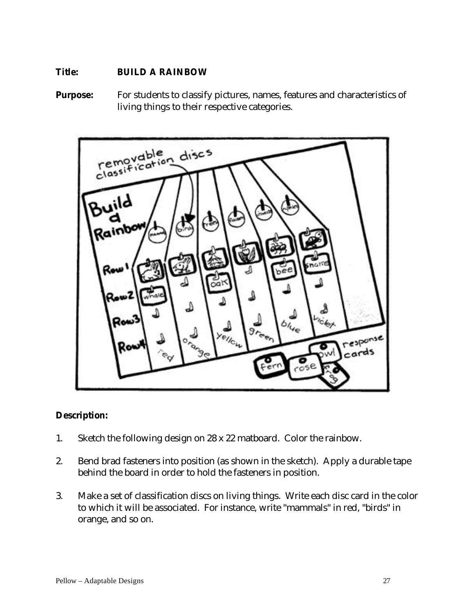## **Title: BUILD A RAINBOW**

**Purpose:** For students to classify pictures, names, features and characteristics of living things to their respective categories.



## **Description:**

- 1. Sketch the following design on 28 x 22 matboard. Color the rainbow.
- 2. Bend brad fasteners into position (as shown in the sketch). Apply a durable tape behind the board in order to hold the fasteners in position.
- 3. Make a set of classification discs on living things. Write each disc card in the color to which it will be associated. For instance, write "mammals" in red, "birds" in orange, and so on.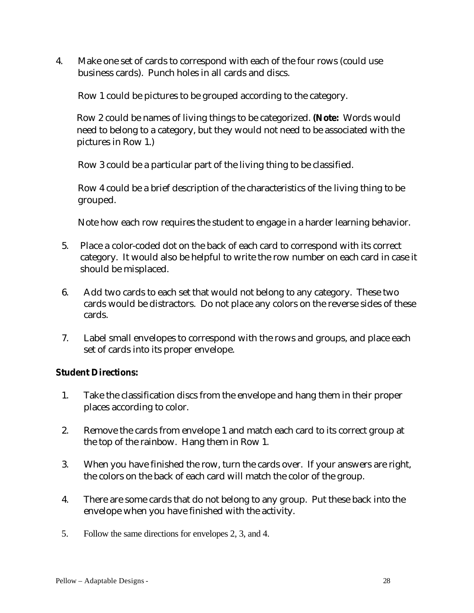4. Make one set of cards to correspond with each of the four rows (could use business cards). Punch holes in all cards and discs.

Row 1 could be pictures to be grouped according to the category.

Row 2 could be names of living things to be categorized. **(Note:** Words would need to belong to a category, but they would not need to be associated with the pictures in Row 1.)

Row 3 could be a particular part of the living thing to be classified.

Row 4 could be a brief description of the characteristics of the living thing to be grouped.

Note how each row requires the student to engage in a harder learning behavior.

- 5. Place a color-coded dot on the back of each card to correspond with its correct category. It would also be helpful to write the row number on each card in case it should be misplaced.
- 6. Add two cards to each set that would not belong to any category. These two cards would be distractors. Do not place any colors on the reverse sides of these cards.
- 7. Label small envelopes to correspond with the rows and groups, and place each set of cards into its proper envelope.

## **Student Directions:**

- 1. Take the classification discs from the envelope and hang them in their proper places according to color.
- 2. Remove the cards from envelope 1 and match each card to its correct group at the top of the rainbow. Hang them in Row 1.
- 3. When you have finished the row, turn the cards over. If your answers are right, the colors on the back of each card will match the color of the group.
- 4. There are some cards that do not belong to any group. Put these back into the envelope when you have finished with the activity.
- 5. Follow the same directions for envelopes 2, 3, and 4.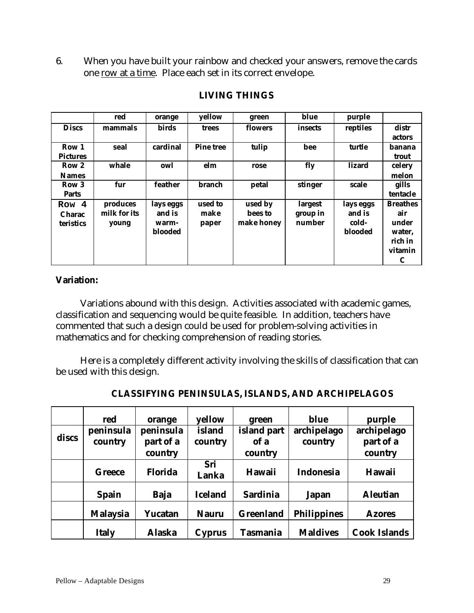6. When you have built your rainbow and checked your answers, remove the cards one row at a time. Place each set in its correct envelope.

|                 | red          | orange         | yellow           | green      | blue     | purple    |                 |
|-----------------|--------------|----------------|------------------|------------|----------|-----------|-----------------|
| <b>Discs</b>    | mammals      | <b>birds</b>   | trees            | flowers    | insects  | reptiles  | distr           |
|                 |              |                |                  |            |          |           | actors          |
| Row 1           | seal         | cardinal       | <b>Pine tree</b> | tulip      | bee      | turtle    | banana          |
| <b>Pictures</b> |              |                |                  |            |          |           | trout           |
| Row 2           | whale        | owl            | elm              | rose       | fly      | lizard    | celery          |
| <b>Names</b>    |              |                |                  |            |          |           | melon           |
| Row 3           | fur          | feather        | branch           | petal      | stinger  | scale     | gills           |
| <b>Parts</b>    |              |                |                  |            |          |           | tentacle        |
| Row 4           | produces     | lays eggs      | used to          | used by    | largest  | lays eggs | <b>Breathes</b> |
| <b>Charac</b>   | milk for its | and is         | make             | bees to    | group in | and is    | air             |
| teristics       | young        | warm-          | paper            | make honey | number   | cold-     | under           |
|                 |              | <b>blooded</b> |                  |            |          | blooded   | water,          |
|                 |              |                |                  |            |          |           | rich in         |
|                 |              |                |                  |            |          |           | vitamin         |
|                 |              |                |                  |            |          |           | C               |

## **LIVING THINGS**

## **Variation:**

Variations abound with this design. Activities associated with academic games, classification and sequencing would be quite feasible. In addition, teachers have commented that such a design could be used for problem-solving activities in mathematics and for checking comprehension of reading stories.

Here is a completely different activity involving the skills of classification that can be used with this design.

|       | red                  | orange                            | yellow            | green                          | blue                   | purple                              |
|-------|----------------------|-----------------------------------|-------------------|--------------------------------|------------------------|-------------------------------------|
| discs | peninsula<br>country | peninsula<br>part of a<br>country | island<br>country | island part<br>of a<br>country | archipelago<br>country | archipelago<br>part of a<br>country |
|       | <b>Greece</b>        | <b>Florida</b>                    | Sri<br>Lanka      | <b>Hawaii</b>                  | <b>Indonesia</b>       | <b>Hawaii</b>                       |
|       | <b>Spain</b>         | <b>Baja</b>                       | <b>Iceland</b>    | <b>Sardinia</b>                | <b>Japan</b>           | <b>Aleutian</b>                     |
|       | <b>Malaysia</b>      | Yucatan                           | <b>Nauru</b>      | <b>Greenland</b>               | <b>Philippines</b>     | <b>Azores</b>                       |
|       | <b>Italy</b>         | <b>Alaska</b>                     | <b>Cyprus</b>     | <b>Tasmania</b>                | <b>Maldives</b>        | <b>Cook Islands</b>                 |

**CLASSIFYING PENINSULAS, ISLANDS, AND ARCHIPELAGOS**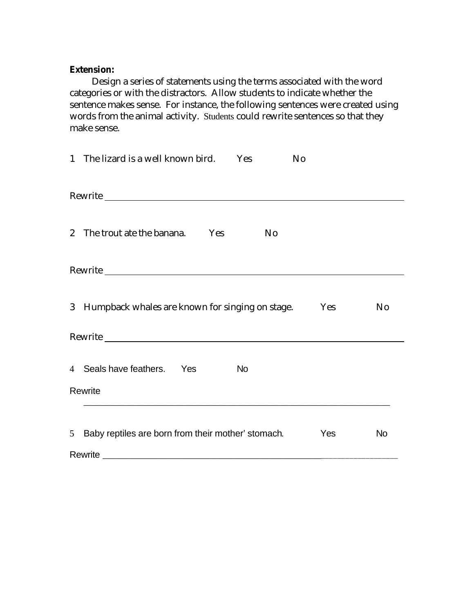### **Extension:**

Design a series of statements using the terms associated with the word categories or with the distractors. Allow students to indicate whether the sentence makes sense. For instance, the following sentences were created using words from the animal activity. Students could rewrite sentences so that they make sense.

| 1 The lizard is a well known bird. Yes                                                                                                                                                  |                | N <sub>o</sub> |                |
|-----------------------------------------------------------------------------------------------------------------------------------------------------------------------------------------|----------------|----------------|----------------|
|                                                                                                                                                                                         |                |                |                |
| 2 The trout ate the banana. Yes                                                                                                                                                         | N <sub>0</sub> |                |                |
|                                                                                                                                                                                         |                |                |                |
| 3 Humpback whales are known for singing on stage.                                                                                                                                       |                | Yes            | N <sub>0</sub> |
| Rewrite                                                                                                                                                                                 |                |                |                |
| 4 Seals have feathers. Yes                                                                                                                                                              | <b>No</b>      |                |                |
| Rewrite                                                                                                                                                                                 |                |                |                |
| 5 Baby reptiles are born from their mother' stomach.<br>Rewrite<br><u> 2000 - Jan James James James James James James James James James James James James James James James James J</u> |                | Yes            | <b>No</b>      |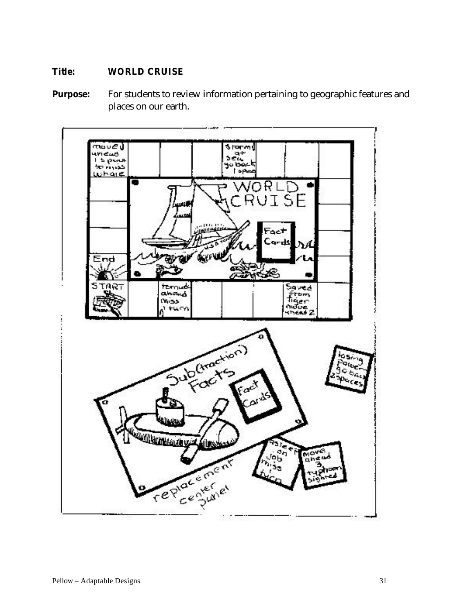## **Title: WORLD CRUISE**

**Purpose:** For students to review information pertaining to geographic features and places on our earth.

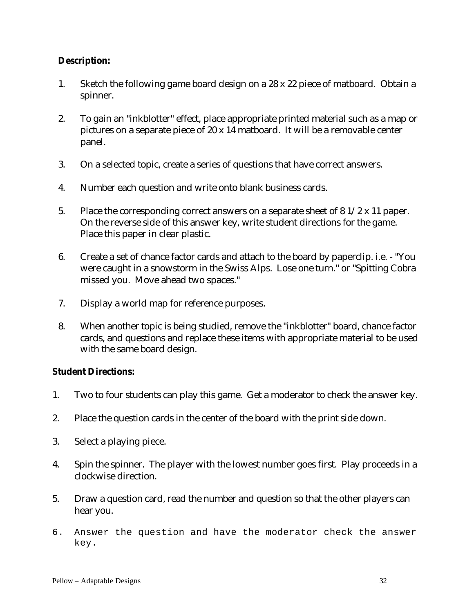## **Description:**

- 1. Sketch the following game board design on a 28 x 22 piece of matboard. Obtain a spinner.
- 2. To gain an "inkblotter" effect, place appropriate printed material such as a map or pictures on a separate piece of 20 x 14 matboard. It will be a removable center panel.
- 3. On a selected topic, create a series of questions that have correct answers.
- 4. Number each question and write onto blank business cards.
- 5. Place the corresponding correct answers on a separate sheet of 8 1/2 x 11 paper. On the reverse side of this answer key, write student directions for the game. Place this paper in clear plastic.
- 6. Create a set of chance factor cards and attach to the board by paperclip. i.e. "You were caught in a snowstorm in the Swiss Alps. Lose one turn." or "Spitting Cobra missed you. Move ahead two spaces."
- 7. Display a world map for reference purposes.
- 8. When another topic is being studied, remove the "inkblotter" board, chance factor cards, and questions and replace these items with appropriate material to be used with the same board design.

## **Student Directions:**

- 1. Two to four students can play this game. Get a moderator to check the answer key.
- 2. Place the question cards in the center of the board with the print side down.
- 3. Select a playing piece.
- 4. Spin the spinner. The player with the lowest number goes first. Play proceeds in a clockwise direction.
- 5. Draw a question card, read the number and question so that the other players can hear you.
- 6. Answer the question and have the moderator check the answer key.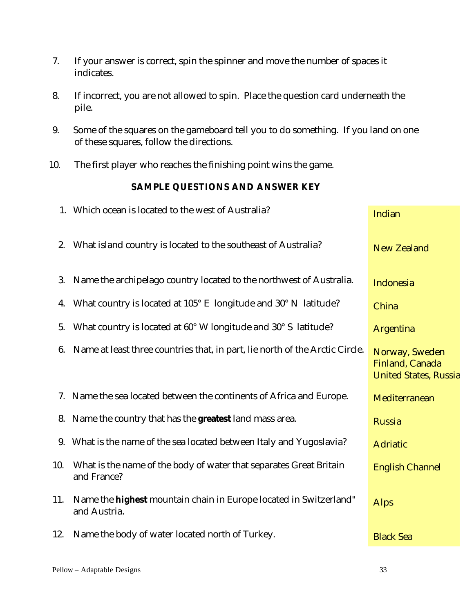- 7. If your answer is correct, spin the spinner and move the number of spaces it indicates.
- 8. If incorrect, you are not allowed to spin. Place the question card underneath the pile.
- 9. Some of the squares on the gameboard tell you to do something. If you land on one of these squares, follow the directions.
- 10. The first player who reaches the finishing point wins the game.

## **SAMPLE QUESTIONS AND ANSWER KEY**

|     | 1. Which ocean is located to the west of Australia?                                      | Indian                                                            |
|-----|------------------------------------------------------------------------------------------|-------------------------------------------------------------------|
| 2.  | What island country is located to the southeast of Australia?                            | <b>New Zealand</b>                                                |
| 3.  | Name the archipelago country located to the northwest of Australia.                      | Indonesia                                                         |
| 4.  | What country is located at 105° E longitude and 30° N latitude?                          | China                                                             |
| 5.  | What country is located at 60° W longitude and 30° S latitude?                           | <b>Argentina</b>                                                  |
| 6.  | Name at least three countries that, in part, lie north of the Arctic Circle.             | Norway, Sweden<br>Finland, Canada<br><b>United States, Russia</b> |
|     | 7. Name the sea located between the continents of Africa and Europe.                     | Mediterranean                                                     |
|     | 8. Name the country that has the greatest land mass area.                                | <b>Russia</b>                                                     |
| 9.  | What is the name of the sea located between Italy and Yugoslavia?                        | <b>Adriatic</b>                                                   |
| 10. | What is the name of the body of water that separates Great Britain<br>and France?        | <b>English Channel</b>                                            |
| 11. | Name the <b>highest</b> mountain chain in Europe located in Switzerland"<br>and Austria. | <b>Alps</b>                                                       |
| 12. | Name the body of water located north of Turkey.                                          | <b>Black Sea</b>                                                  |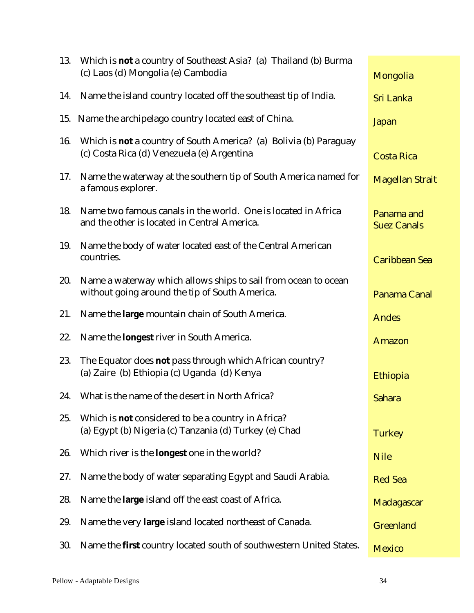| 13. | Which is <b>not</b> a country of Southeast Asia? (a) Thailand (b) Burma<br>(c) Laos (d) Mongolia (e) Cambodia          | Mongolia                         |
|-----|------------------------------------------------------------------------------------------------------------------------|----------------------------------|
| 14. | Name the island country located off the southeast tip of India.                                                        | <b>Sri Lanka</b>                 |
|     | 15. Name the archipelago country located east of China.                                                                | <b>Japan</b>                     |
| 16. | Which is <b>not</b> a country of South America? (a) Bolivia (b) Paraguay<br>(c) Costa Rica (d) Venezuela (e) Argentina | <b>Costa Rica</b>                |
| 17. | Name the waterway at the southern tip of South America named for<br>a famous explorer.                                 | <b>Magellan Strait</b>           |
| 18. | Name two famous canals in the world. One is located in Africa<br>and the other is located in Central America.          | Panama and<br><b>Suez Canals</b> |
| 19. | Name the body of water located east of the Central American<br>countries.                                              | <b>Caribbean Sea</b>             |
| 20. | Name a waterway which allows ships to sail from ocean to ocean<br>without going around the tip of South America.       | Panama Canal                     |
| 21. | Name the large mountain chain of South America.                                                                        | <b>Andes</b>                     |
| 22. | Name the <b>longest</b> river in South America.                                                                        | <b>Amazon</b>                    |
| 23. | The Equator does not pass through which African country?<br>(a) Zaire (b) Ethiopia (c) Uganda (d) Kenya                | Ethiopia                         |
|     | 24. What is the name of the desert in North Africa?                                                                    | <b>Sahara</b>                    |
| 25. | Which is <b>not</b> considered to be a country in Africa?<br>(a) Egypt (b) Nigeria (c) Tanzania (d) Turkey (e) Chad    | <b>Turkey</b>                    |
| 26. | Which river is the <b>longest</b> one in the world?                                                                    | <b>Nile</b>                      |
| 27. | Name the body of water separating Egypt and Saudi Arabia.                                                              | <b>Red Sea</b>                   |
| 28. | Name the <b>large</b> island off the east coast of Africa.                                                             | Madagascar                       |
| 29. | Name the very large island located northeast of Canada.                                                                | <b>Greenland</b>                 |
| 30. | Name the <b>first</b> country located south of southwestern United States.                                             | <b>Mexico</b>                    |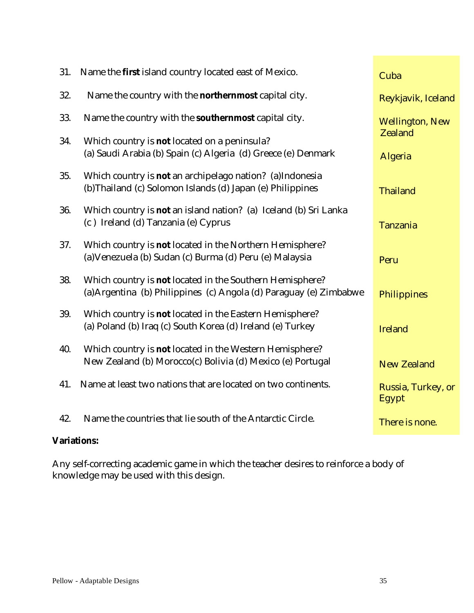| 31. | Name the <b>first</b> island country located east of Mexico.                                                                          | Cuba                        |
|-----|---------------------------------------------------------------------------------------------------------------------------------------|-----------------------------|
| 32. | Name the country with the <b>northernmost</b> capital city.                                                                           | Reykjavik, Iceland          |
| 33. | Name the country with the <b>southernmost</b> capital city.                                                                           | <b>Wellington, New</b>      |
| 34. | Which country is <b>not</b> located on a peninsula?<br>(a) Saudi Arabia (b) Spain (c) Algeria (d) Greece (e) Denmark                  | <b>Zealand</b><br>Algeria   |
| 35. | Which country is <b>not</b> an archipelago nation? (a)Indonesia<br>(b)Thailand (c) Solomon Islands (d) Japan (e) Philippines          | <b>Thailand</b>             |
| 36. | Which country is <b>not</b> an island nation? (a) Iceland (b) Sri Lanka<br>(c) Ireland (d) Tanzania (e) Cyprus                        | <b>Tanzania</b>             |
| 37. | Which country is not located in the Northern Hemisphere?<br>(a) Venezuela (b) Sudan (c) Burma (d) Peru (e) Malaysia                   | Peru                        |
| 38. | Which country is <b>not</b> located in the Southern Hemisphere?<br>(a) Argentina (b) Philippines (c) Angola (d) Paraguay (e) Zimbabwe | Philippines                 |
| 39. | Which country is not located in the Eastern Hemisphere?<br>(a) Poland (b) Iraq (c) South Korea (d) Ireland (e) Turkey                 | <b>Ireland</b>              |
| 40. | Which country is <b>not</b> located in the Western Hemisphere?<br>New Zealand (b) Morocco(c) Bolivia (d) Mexico (e) Portugal          | <b>New Zealand</b>          |
| 41. | Name at least two nations that are located on two continents.                                                                         | Russia, Turkey, or<br>Egypt |
| 42. | Name the countries that lie south of the Antarctic Circle.                                                                            | There is none.              |

# **Variations:**

Any self-correcting academic game in which the teacher desires to reinforce a body of knowledge may be used with this design.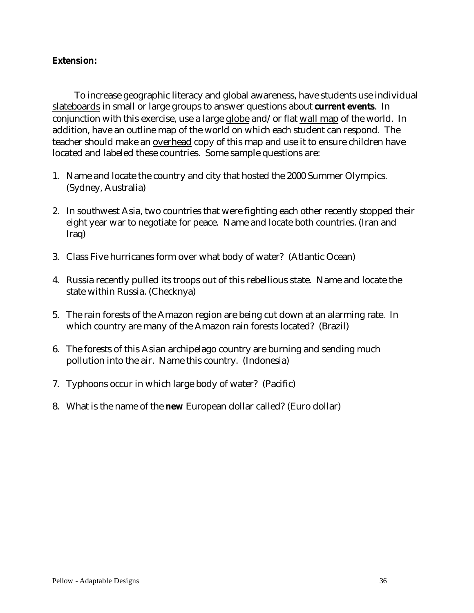#### **Extension:**

To increase geographic literacy and global awareness, have students use individual slateboards in small or large groups to answer questions about **current events**. In conjunction with this exercise, use a large globe and/or flat wall map of the world. In addition, have an outline map of the world on which each student can respond. The teacher should make an overhead copy of this map and use it to ensure children have located and labeled these countries. Some sample questions are:

- 1. Name and locate the country and city that hosted the 2000 Summer Olympics. (Sydney, Australia)
- 2. In southwest Asia, two countries that were fighting each other recently stopped their eight year war to negotiate for peace. Name and locate both countries. (Iran and Iraq)
- 3. Class Five hurricanes form over what body of water? (Atlantic Ocean)
- 4. Russia recently pulled its troops out of this rebellious state. Name and locate the state within Russia. (Checknya)
- 5. The rain forests of the Amazon region are being cut down at an alarming rate. In which country are many of the Amazon rain forests located? (Brazil)
- 6. The forests of this Asian archipelago country are burning and sending much pollution into the air. Name this country. (Indonesia)
- 7. Typhoons occur in which large body of water? (Pacific)
- 8. What is the name of the **new** European dollar called? (Euro dollar)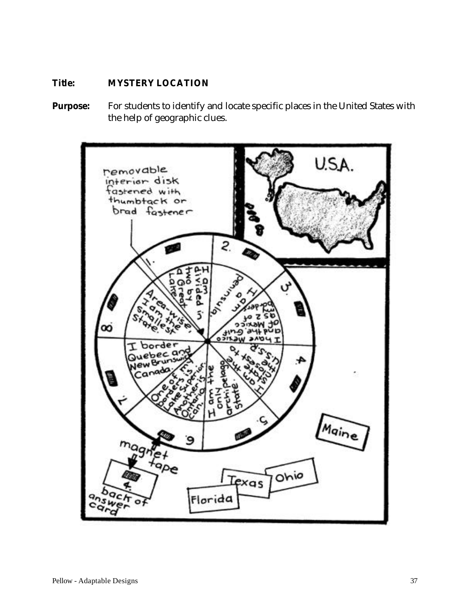# **Title: MYSTERY LOCATION**

Purpose: For students to identify and locate specific places in the United States with the help of geographic clues.

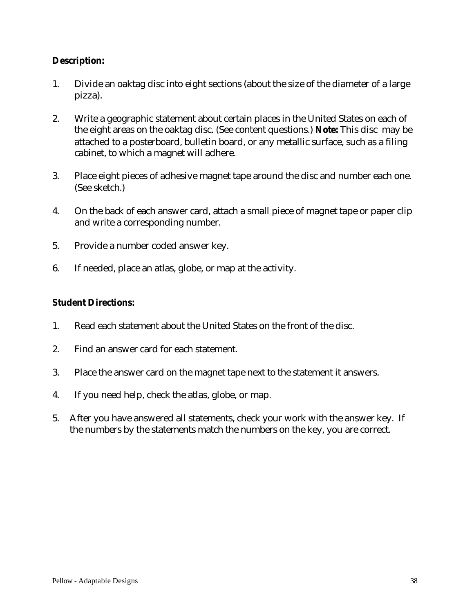## **Description:**

- 1. Divide an oaktag disc into eight sections (about the size of the diameter of a large pizza).
- 2. Write a geographic statement about certain places in the United States on each of the eight areas on the oaktag disc. (See content questions.) **Note:** This disc may be attached to a posterboard, bulletin board, or any metallic surface, such as a filing cabinet, to which a magnet will adhere.
- 3. Place eight pieces of adhesive magnet tape around the disc and number each one. (See sketch.)
- 4. On the back of each answer card, attach a small piece of magnet tape or paper clip and write a corresponding number.
- 5. Provide a number coded answer key.
- 6. If needed, place an atlas, globe, or map at the activity.

#### **Student Directions:**

- 1. Read each statement about the United States on the front of the disc.
- 2. Find an answer card for each statement.
- 3. Place the answer card on the magnet tape next to the statement it answers.
- 4. If you need help, check the atlas, globe, or map.
- 5. After you have answered all statements, check your work with the answer key. If the numbers by the statements match the numbers on the key, you are correct.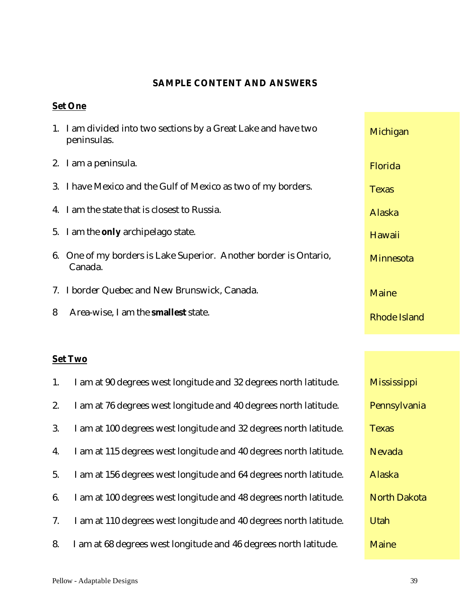# **SAMPLE CONTENT AND ANSWERS**

## **Set One**

|   | 1. I am divided into two sections by a Great Lake and have two<br>peninsulas. | Michigan            |
|---|-------------------------------------------------------------------------------|---------------------|
|   | 2. I am a peninsula.                                                          | Florida             |
|   | 3. I have Mexico and the Gulf of Mexico as two of my borders.                 | <b>Texas</b>        |
|   | 4. I am the state that is closest to Russia.                                  | Alaska              |
|   | 5. I am the <b>only</b> archipelago state.                                    | Hawaii              |
|   | 6. One of my borders is Lake Superior. Another border is Ontario,<br>Canada.  | <b>Minnesota</b>    |
|   | 7. I border Quebec and New Brunswick, Canada.                                 | <b>Maine</b>        |
| 8 | Area-wise, I am the <b>smallest</b> state.                                    | <b>Rhode Island</b> |

# **Set Two**

| 1. | I am at 90 degrees west longitude and 32 degrees north latitude.  | <b>Mississippi</b>  |
|----|-------------------------------------------------------------------|---------------------|
| 2. | I am at 76 degrees west longitude and 40 degrees north latitude.  | Pennsylvania        |
| 3. | I am at 100 degrees west longitude and 32 degrees north latitude. | <b>Texas</b>        |
| 4. | I am at 115 degrees west longitude and 40 degrees north latitude. | <b>Nevada</b>       |
| 5. | I am at 156 degrees west longitude and 64 degrees north latitude. | Alaska              |
| 6. | I am at 100 degrees west longitude and 48 degrees north latitude. | <b>North Dakota</b> |
| 7. | I am at 110 degrees west longitude and 40 degrees north latitude. | <b>Utah</b>         |
| 8. | I am at 68 degrees west longitude and 46 degrees north latitude.  | <b>Maine</b>        |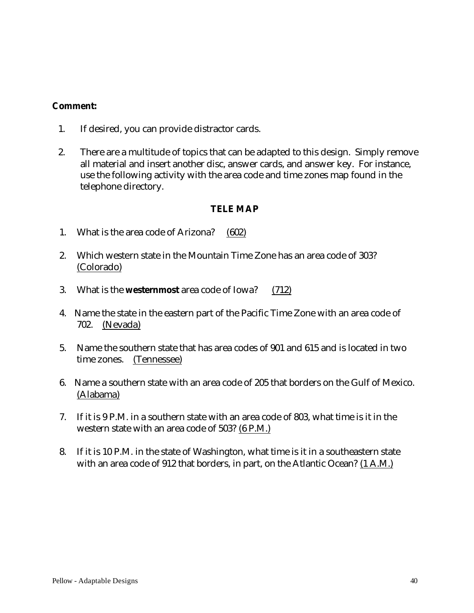#### **Comment:**

- 1. If desired, you can provide distractor cards.
- 2. There are a multitude of topics that can be adapted to this design. Simply remove all material and insert another disc, answer cards, and answer key. For instance, use the following activity with the area code and time zones map found in the telephone directory.

#### **TELE MAP**

- 1. What is the area code of Arizona? (602)
- 2. Which western state in the Mountain Time Zone has an area code of 303? (Colorado)
- 3. What is the **westernmost** area code of Iowa? (712)
- 4. Name the state in the eastern part of the Pacific Time Zone with an area code of 702. (Nevada)
- 5. Name the southern state that has area codes of 901 and 615 and is located in two time zones. (Tennessee)
- 6. Name a southern state with an area code of 205 that borders on the Gulf of Mexico. (Alabama)
- 7. If it is 9 P.M. in a southern state with an area code of 803, what time is it in the western state with an area code of 503? (6 P.M.)
- 8. If it is 10 P.M. in the state of Washington, what time is it in a southeastern state with an area code of 912 that borders, in part, on the Atlantic Ocean? (1 A.M.)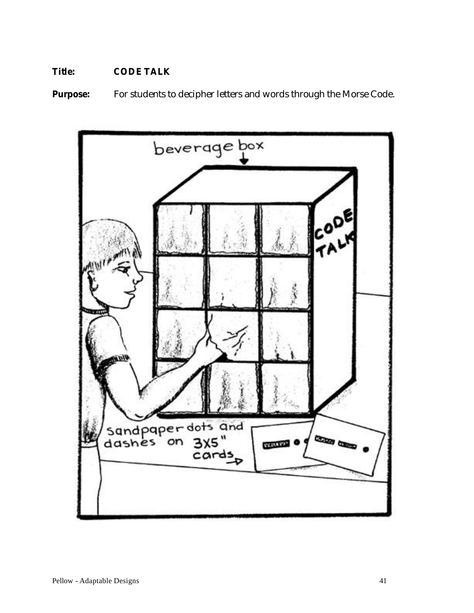# **Title: CODE TALK**

**Purpose:** For students to decipher letters and words through the Morse Code.

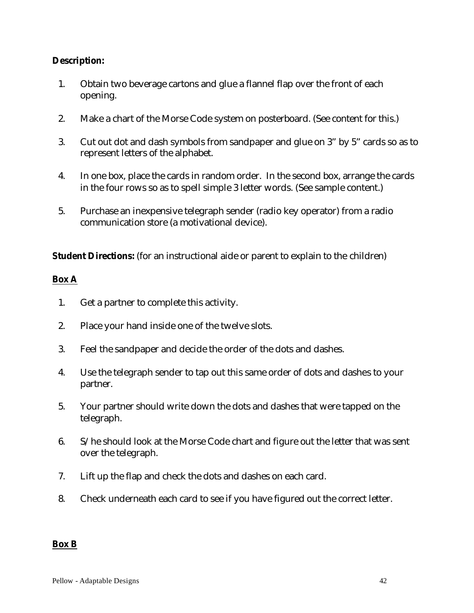#### **Description:**

- 1. Obtain two beverage cartons and glue a flannel flap over the front of each opening.
- 2. Make a chart of the Morse Code system on posterboard. (See content for this.)
- 3. Cut out dot and dash symbols from sandpaper and glue on 3" by 5" cards so as to represent letters of the alphabet.
- 4. In one box, place the cards in random order. In the second box, arrange the cards in the four rows so as to spell simple 3 letter words. (See sample content.)
- 5. Purchase an inexpensive telegraph sender (radio key operator) from a radio communication store (a motivational device).

**Student Directions:** (for an instructional aide or parent to explain to the children)

## **Box A**

- 1. Get a partner to complete this activity.
- 2. Place your hand inside one of the twelve slots.
- 3. Feel the sandpaper and decide the order of the dots and dashes.
- 4. Use the telegraph sender to tap out this same order of dots and dashes to your partner.
- 5. Your partner should write down the dots and dashes that were tapped on the telegraph.
- 6. S/he should look at the Morse Code chart and figure out the letter that was sent over the telegraph.
- 7. Lift up the flap and check the dots and dashes on each card.
- 8. Check underneath each card to see if you have figured out the correct letter.

#### **Box B**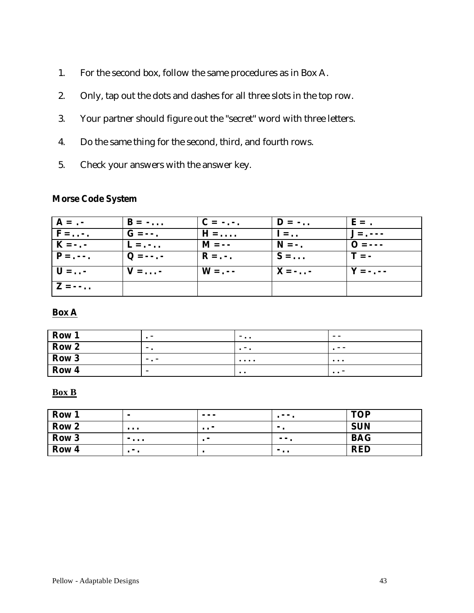- 1. For the second box, follow the same procedures as in Box A.
- 2. Only, tap out the dots and dashes for all three slots in the top row.
- 3. Your partner should figure out the "secret" word with three letters.
- 4. Do the same thing for the second, third, and fourth rows.
- 5. Check your answers with the answer key.

# **Morse Code System**

| $A = . -$                         | $\mathbf{B} = - \dots$ | $C = -1$ .             | $\mathbf{D} = -\mathbf{D}$ | $E =$ .                                |
|-----------------------------------|------------------------|------------------------|----------------------------|----------------------------------------|
| $F = \ldots$                      | $G = -$ .              | $H = \ldots$           | $I = \ldots$               | $\mathbf{J} = \mathbf{J} - \mathbf{J}$ |
| $K = -$ .                         | $L = $                 | $M = -$                | $N = -$ .                  | $\Omega = -$                           |
| $P = - -$                         | $Q = - - -$            | $\mathbf{R} = \cdot$ . | $S = \ldots$               | $T = -$                                |
| $\mathbf{U} = \dots$              | $V = \ldots$           | $W = -$                | $X = - \cdot \cdot$        | $\mathbf{Y} = -$ .                     |
| $\mathbf{Z} = -\cdot \cdot \cdot$ |                        |                        |                            |                                        |

#### **Box A**

| Row 1            | . .                      | $-$                                      | --       |
|------------------|--------------------------|------------------------------------------|----------|
| Row <sub>2</sub> | $ -$                     | .                                        | $ -$     |
| Row 3            | $ -$                     | $\cdots$                                 | $\cdots$ |
| Row <sub>4</sub> | $\overline{\phantom{a}}$ | $\bullet\hspace{1mm}\bullet\hspace{1mm}$ | $\cdots$ |

#### **Box B**

| Row 1            | $\overline{\phantom{0}}$ | $  -$    |     | <b>TOP</b> |
|------------------|--------------------------|----------|-----|------------|
| Row <sub>2</sub> | $\cdots$                 | $\cdots$ |     | <b>SUN</b> |
| Row <sub>3</sub> | $- \cdot \cdot \cdot$    |          | - - | <b>BAG</b> |
| Row 4            | - -                      |          | $-$ | <b>RED</b> |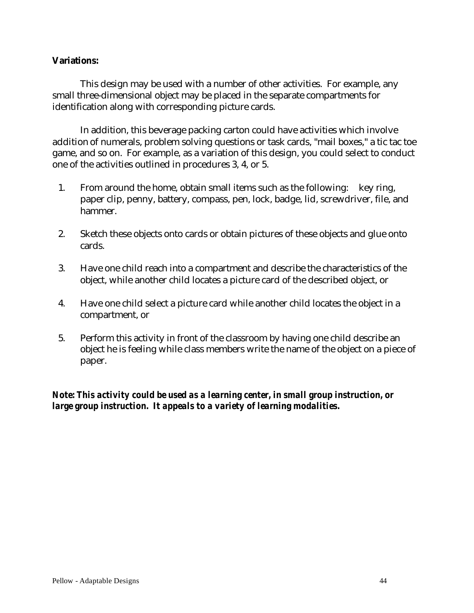#### **Variations:**

This design may be used with a number of other activities. For example, any small three-dimensional object may be placed in the separate compartments for identification along with corresponding picture cards.

In addition, this beverage packing carton could have activities which involve addition of numerals, problem solving questions or task cards, "mail boxes," a tic tac toe game, and so on. For example, as a variation of this design, you could select to conduct one of the activities outlined in procedures 3, 4, or 5.

- 1. From around the home, obtain small items such as the following: key ring, paper clip, penny, battery, compass, pen, lock, badge, lid, screwdriver, file, and hammer.
- 2. Sketch these objects onto cards or obtain pictures of these objects and glue onto cards.
- 3. Have one child reach into a compartment and describe the characteristics of the object, while another child locates a picture card of the described object, or
- 4. Have one child select a picture card while another child locates the object in a compartment, or
- 5. Perform this activity in front of the classroom by having one child describe an object he is feeling while class members write the name of the object on a piece of paper.

## *Note: This activity could be used as a learning center, in small group instruction, or large group instruction. It appeals to a variety of learning modalities.*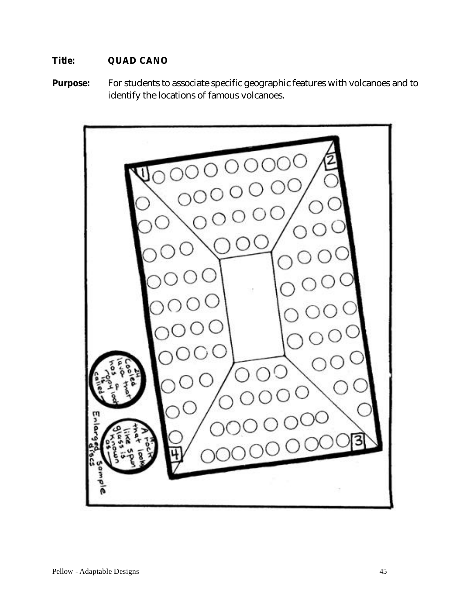# **Title: QUAD CANO**

**Purpose:** For students to associate specific geographic features with volcanoes and to identify the locations of famous volcanoes.

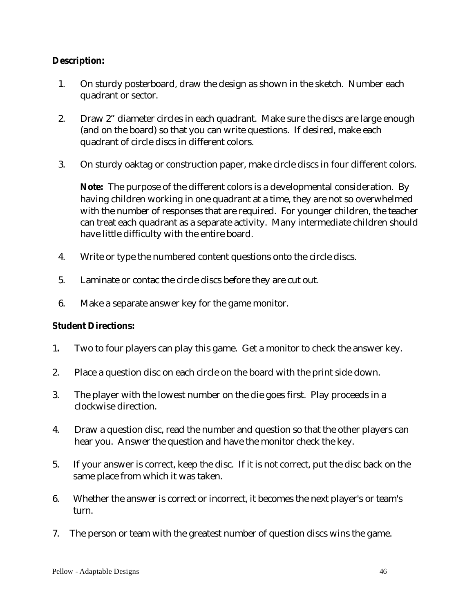#### **Description:**

- 1. On sturdy posterboard, draw the design as shown in the sketch. Number each quadrant or sector.
- 2. Draw 2" diameter circles in each quadrant. Make sure the discs are large enough (and on the board) so that you can write questions. If desired, make each quadrant of circle discs in different colors.
- 3. On sturdy oaktag or construction paper, make circle discs in four different colors.

**Note:** The purpose of the different colors is a developmental consideration. By having children working in one quadrant at a time, they are not so overwhelmed with the number of responses that are required. For younger children, the teacher can treat each quadrant as a separate activity. Many intermediate children should have little difficulty with the entire board.

- 4. Write or type the numbered content questions onto the circle discs.
- 5. Laminate or contac the circle discs before they are cut out.
- 6. Make a separate answer key for the game monitor.

#### **Student Directions:**

- 1**.** Two to four players can play this game. Get a monitor to check the answer key.
- 2. Place a question disc on each circle on the board with the print side down.
- 3. The player with the lowest number on the die goes first. Play proceeds in a clockwise direction.
- 4. Draw a question disc, read the number and question so that the other players can hear you. Answer the question and have the monitor check the key.
- 5. If your answer is correct, keep the disc. If it is not correct, put the disc back on the same place from which it was taken.
- 6. Whether the answer is correct or incorrect, it becomes the next player's or team's turn.
- 7. The person or team with the greatest number of question discs wins the game.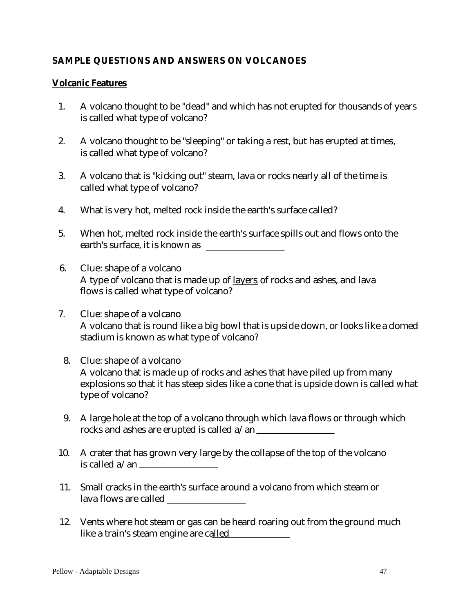## **SAMPLE QUESTIONS AND ANSWERS ON VOLCANOES**

#### **Volcanic Features**

- 1. A volcano thought to be "dead" and which has not erupted for thousands of years is called what type of volcano?
- 2. A volcano thought to be "sleeping" or taking a rest, but has erupted at times, is called what type of volcano?
- 3. A volcano that is "kicking out" steam, lava or rocks nearly all of the time is called what type of volcano?
- 4. What is very hot, melted rock inside the earth's surface called?
- 5. When hot, melted rock inside the earth's surface spills out and flows onto the earth's surface, it is known as
- 6. Clue: shape of a volcano A type of volcano that is made up of layers of rocks and ashes, and lava flows is called what type of volcano?
- 7. Clue: shape of a volcano A volcano that is round like a big bowl that is upside down, or looks like a domed stadium is known as what type of volcano?
	- 8. Clue: shape of a volcano A volcano that is made up of rocks and ashes that have piled up from many explosions so that it has steep sides like a cone that is upside down is called what type of volcano?
- 9. A large hole at the top of a volcano through which lava flows or through which rocks and ashes are erupted is called a/an
- 10. A crater that has grown very large by the collapse of the top of the volcano is called  $a$ /an  $\equiv$
- 11. Small cracks in the earth's surface around a volcano from which steam or lava flows are called
- 12. Vents where hot steam or gas can be heard roaring out from the ground much like a train's steam engine are called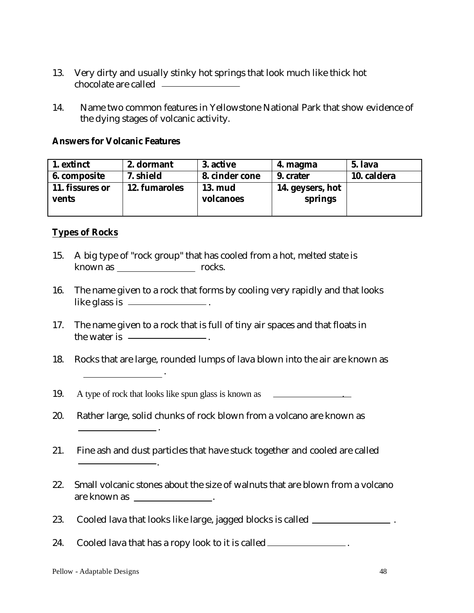- 13. Very dirty and usually stinky hot springs that look much like thick hot chocolate are called
- 14. Name two common features in Yellowstone National Park that show evidence of the dying stages of volcanic activity.

#### **Answers for Volcanic Features**

| 1. extinct      | 2. dormant    | 3. active      | 4. magma         | 5. lava     |
|-----------------|---------------|----------------|------------------|-------------|
| 6. composite    | 7. shield     | 8. cinder cone | 9. crater        | 10. caldera |
| 11. fissures or | 12. fumaroles | <b>13. mud</b> | 14. geysers, hot |             |
| <b>vents</b>    |               | volcanoes      | springs          |             |
|                 |               |                |                  |             |

## **Types of Rocks**

- 15. A big type of "rock group" that has cooled from a hot, melted state is known as rocks.
- 16. The name given to a rock that forms by cooling very rapidly and that looks like glass is \_\_\_\_\_\_\_\_\_\_\_\_\_\_\_\_.
- 17. The name given to a rock that is full of tiny air spaces and that floats in the water is  $\frac{1}{\sqrt{1-\frac{1}{\sqrt{1-\frac{1}{\sqrt{1-\frac{1}{\sqrt{1-\frac{1}{\sqrt{1-\frac{1}{\sqrt{1-\frac{1}{\sqrt{1-\frac{1}{\sqrt{1-\frac{1}{\sqrt{1-\frac{1}{\sqrt{1-\frac{1}{\sqrt{1-\frac{1}{\sqrt{1-\frac{1}{\sqrt{1-\frac{1}{\sqrt{1-\frac{1}{\sqrt{1-\frac{1}{\sqrt{1-\frac{1}{\sqrt{1-\frac{1}{\sqrt{1-\frac{1}{\sqrt{1-\frac{1}{\sqrt{1-\frac{1}{\sqrt{1-\frac{1}{\sqrt{1-\frac{1}{\sqrt{1$
- 18. Rocks that are large, rounded lumps of lava blown into the air are known as .
- 19. A type of rock that looks like spun glass is known as  $\sim$
- 20. Rather large, solid chunks of rock blown from a volcano are known as
- 21. Fine ash and dust particles that have stuck together and cooled are called
- 22. Small volcanic stones about the size of walnuts that are blown from a volcano are known as \_\_\_\_\_\_\_\_\_\_\_\_\_\_\_\_.
- 23. Cooled lava that looks like large, jagged blocks is called \_\_\_\_\_\_\_\_\_\_\_\_\_\_\_\_.

24. Cooled lava that has a ropy look to it is called \_\_\_\_\_\_\_\_\_\_\_\_\_\_.

.

.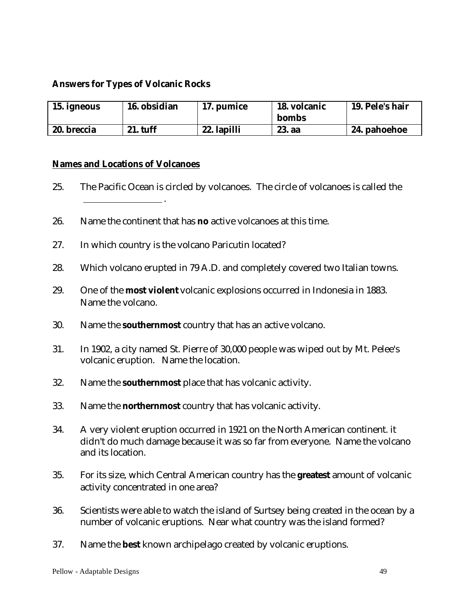#### **Answers for Types of Volcanic Rocks**

| 15. igneous | 16. obsidian    | 17. pumice  | 18. volcanic<br>bombs | 19. Pele's hair |
|-------------|-----------------|-------------|-----------------------|-----------------|
| 20. breccia | <b>21. tuff</b> | 22. lapilli | 23. aa                | 24. pahoehoe    |

#### **Names and Locations of Volcanoes**

- 25. The Pacific Ocean is circled by volcanoes. The circle of volcanoes is called the .
- 26. Name the continent that has **no** active volcanoes at this time.
- 27. In which country is the volcano Paricutin located?
- 28. Which volcano erupted in 79 A.D. and completely covered two Italian towns.
- 29. One of the **most violent** volcanic explosions occurred in Indonesia in 1883. Name the volcano.
- 30. Name the **southernmost** country that has an active volcano.
- 31. In 1902, a city named St. Pierre of 30,000 people was wiped out by Mt. Pelee's volcanic eruption. Name the location.
- 32. Name the **southernmost** place that has volcanic activity.
- 33. Name the **northernmost** country that has volcanic activity.
- 34. A very violent eruption occurred in 1921 on the North American continent. it didn't do much damage because it was so far from everyone. Name the volcano and its location.
- 35. For its size, which Central American country has the **greatest** amount of volcanic activity concentrated in one area?
- 36. Scientists were able to watch the island of Surtsey being created in the ocean by a number of volcanic eruptions. Near what country was the island formed?
- 37. Name the **best** known archipelago created by volcanic eruptions.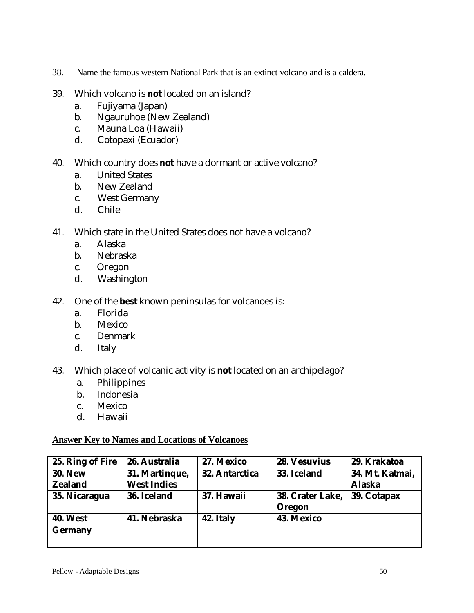- 38. Name the famous western National Park that is an extinct volcano and is a caldera.
- 39. Which volcano is **not** located on an island?
	- a. Fujiyama (Japan)
	- b. Ngauruhoe (New Zealand)
	- c. Mauna Loa (Hawaii)
	- d. Cotopaxi (Ecuador)
- 40. Which country does **not** have a dormant or active volcano?
	- a. United States
	- b. New Zealand
	- c. West Germany
	- d. Chile
- 41. Which state in the United States does not have a volcano?
	- a. Alaska
	- b. Nebraska
	- c. Oregon
	- d. Washington
- 42. One of the **best** known peninsulas for volcanoes is:
	- a. Florida
	- b. Mexico
	- c. Denmark
	- d. Italy
- 43. Which place of volcanic activity is **not** located on an archipelago?
	- a. Philippines
	- b. Indonesia
	- c. Mexico
	- d. Hawaii

#### **Answer Key to Names and Locations of Volcanoes**

| 25. Ring of Fire                  | 26. Australia                        | 27. Mexico            | <b>28. Vesuvius</b>        | 29. Krakatoa                     |
|-----------------------------------|--------------------------------------|-----------------------|----------------------------|----------------------------------|
| <b>30. New</b><br><b>Zealand</b>  | 31. Martinque,<br><b>West Indies</b> | <b>32. Antarctica</b> | 33. Iceland                | 34. Mt. Katmai,<br><b>Alaska</b> |
| 35. Nicaragua                     | 36. Iceland                          | 37. Hawaii            | 38. Crater Lake,<br>Oregon | 39. Cotapax                      |
| <b>40. West</b><br><b>Germany</b> | 41. Nebraska                         | 42. Italy             | <b>43. Mexico</b>          |                                  |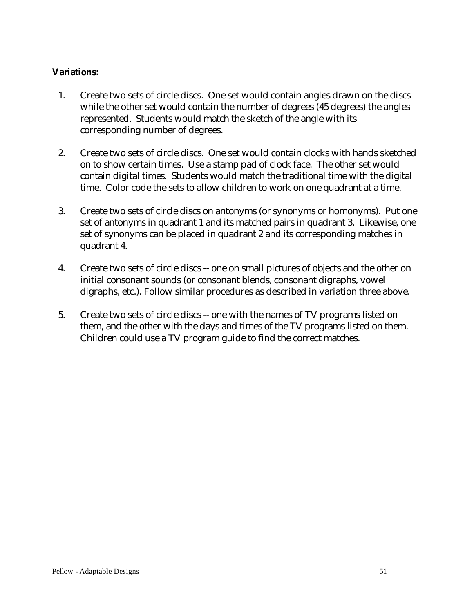#### **Variations:**

- 1. Create two sets of circle discs. One set would contain angles drawn on the discs while the other set would contain the number of degrees (45 degrees) the angles represented. Students would match the sketch of the angle with its corresponding number of degrees.
- 2. Create two sets of circle discs. One set would contain clocks with hands sketched on to show certain times. Use a stamp pad of clock face. The other set would contain digital times. Students would match the traditional time with the digital time. Color code the sets to allow children to work on one quadrant at a time.
- 3. Create two sets of circle discs on antonyms (or synonyms or homonyms). Put one set of antonyms in quadrant 1 and its matched pairs in quadrant 3. Likewise, one set of synonyms can be placed in quadrant 2 and its corresponding matches in quadrant 4.
- 4. Create two sets of circle discs -- one on small pictures of objects and the other on initial consonant sounds (or consonant blends, consonant digraphs, vowel digraphs, etc.). Follow similar procedures as described in variation three above.
- 5. Create two sets of circle discs -- one with the names of TV programs listed on them, and the other with the days and times of the TV programs listed on them. Children could use a TV program guide to find the correct matches.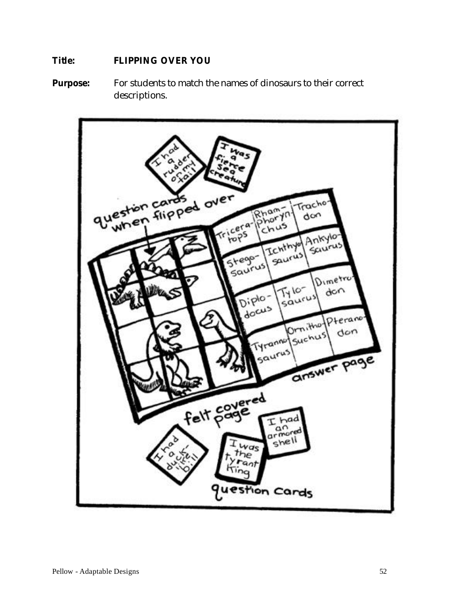#### **Title: FLIPPING OVER YOU**

**Purpose:** For students to match the names of dinosaurs to their correct descriptions.

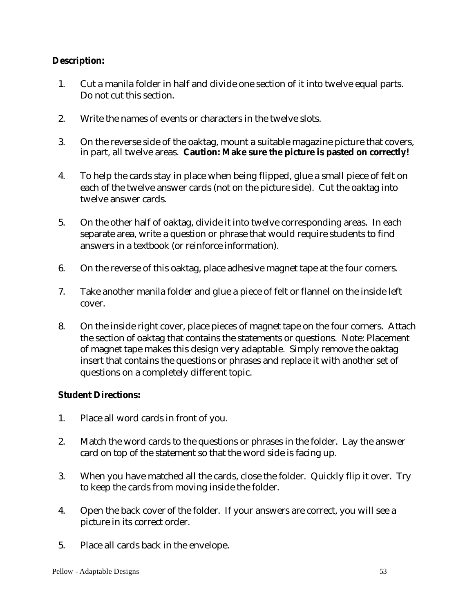## **Description:**

- 1. Cut a manila folder in half and divide one section of it into twelve equal parts. Do not cut this section.
- 2. Write the names of events or characters in the twelve slots.
- 3. On the reverse side of the oaktag, mount a suitable magazine picture that covers, in part, all twelve areas. **Caution: Make sure the picture is pasted on correctly!**
- 4. To help the cards stay in place when being flipped, glue a small piece of felt on each of the twelve answer cards (not on the picture side). Cut the oaktag into twelve answer cards.
- 5. On the other half of oaktag, divide it into twelve corresponding areas. In each separate area, write a question or phrase that would require students to find answers in a textbook (or reinforce information).
- 6. On the reverse of this oaktag, place adhesive magnet tape at the four corners.
- 7. Take another manila folder and glue a piece of felt or flannel on the inside left cover.
- 8. On the inside right cover, place pieces of magnet tape on the four corners. Attach the section of oaktag that contains the statements or questions. Note: Placement of magnet tape makes this design very adaptable. Simply remove the oaktag insert that contains the questions or phrases and replace it with another set of questions on a completely different topic.

#### **Student Directions:**

- 1. Place all word cards in front of you.
- 2. Match the word cards to the questions or phrases in the folder. Lay the answer card on top of the statement so that the word side is facing up.
- 3. When you have matched all the cards, close the folder. Quickly flip it over. Try to keep the cards from moving inside the folder.
- 4. Open the back cover of the folder. If your answers are correct, you will see a picture in its correct order.
- 5. Place all cards back in the envelope.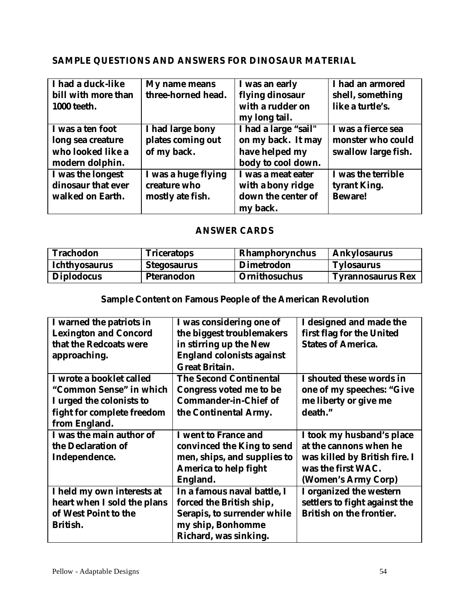## **SAMPLE QUESTIONS AND ANSWERS FOR DINOSAUR MATERIAL**

| I had a duck-like   | My name means       | I was an early       | I had an armored    |
|---------------------|---------------------|----------------------|---------------------|
| bill with more than | three-horned head.  | flying dinosaur      | shell, something    |
| <b>1000 teeth.</b>  |                     | with a rudder on     | like a turtle's.    |
|                     |                     | my long tail.        |                     |
| I was a ten foot    | I had large bony    | I had a large "sail" | I was a fierce sea  |
| long sea creature   | plates coming out   | on my back. It may   | monster who could   |
| who looked like a   | of my back.         | have helped my       | swallow large fish. |
| modern dolphin.     |                     | body to cool down.   |                     |
| I was the longest   | I was a huge flying | I was a meat eater   | I was the terrible  |
| dinosaur that ever  | creature who        | with a bony ridge    | tyrant King.        |
| walked on Earth.    | mostly ate fish.    | down the center of   | <b>Beware!</b>      |
|                     |                     | my back.             |                     |

## **ANSWER CARDS**

| <b>Trachodon</b>     | <b>Triceratops</b> | Rhamphorynchus       | <b>Ankylosaurus</b>      |
|----------------------|--------------------|----------------------|--------------------------|
| <b>Ichthyosaurus</b> | Stegosaurus        | <b>Dimetrodon</b>    | <b>Tylosaurus</b>        |
| <b>Diplodocus</b>    | <b>Pteranodon</b>  | <b>Ornithosuchus</b> | <b>Tyrannosaurus Rex</b> |

# **Sample Content on Famous People of the American Revolution**

| I warned the patriots in     | I was considering one of         | I designed and made the         |
|------------------------------|----------------------------------|---------------------------------|
| <b>Lexington and Concord</b> | the biggest troublemakers        | first flag for the United       |
| that the Redcoats were       | in stirring up the New           | <b>States of America.</b>       |
| approaching.                 | <b>England colonists against</b> |                                 |
|                              | <b>Great Britain.</b>            |                                 |
| I wrote a booklet called     | <b>The Second Continental</b>    | I shouted these words in        |
| "Common Sense" in which      | <b>Congress voted me to be</b>   | one of my speeches: "Give       |
| I urged the colonists to     | <b>Commander-in-Chief of</b>     | me liberty or give me           |
| fight for complete freedom   | the Continental Army.            | death."                         |
| from England.                |                                  |                                 |
| I was the main author of     | I went to France and             | I took my husband's place       |
| the Declaration of           | convinced the King to send       | at the cannons when he          |
| Independence.                | men, ships, and supplies to      | was killed by British fire. I   |
|                              | <b>America to help fight</b>     | was the first WAC.              |
|                              | England.                         | (Women's Army Corp)             |
| I held my own interests at   | In a famous naval battle, I      | I organized the western         |
| heart when I sold the plans  | forced the British ship,         | settlers to fight against the   |
| of West Point to the         | Serapis, to surrender while      | <b>British on the frontier.</b> |
| British.                     | my ship, Bonhomme                |                                 |
|                              | Richard, was sinking.            |                                 |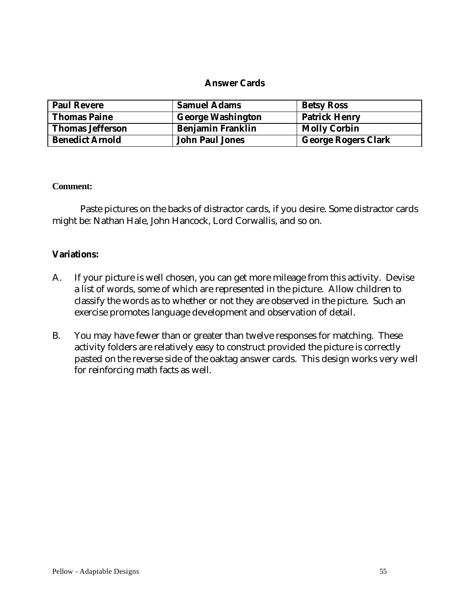#### **Answer Cards**

| <b>Paul Revere</b>      | <b>Samuel Adams</b>      | <b>Betsy Ross</b>          |
|-------------------------|--------------------------|----------------------------|
| <b>Thomas Paine</b>     | <b>George Washington</b> | <b>Patrick Henry</b>       |
| <b>Thomas Jefferson</b> | <b>Benjamin Franklin</b> | <b>Molly Corbin</b>        |
| <b>Benedict Arnold</b>  | <b>John Paul Jones</b>   | <b>George Rogers Clark</b> |

#### **Comment:**

Paste pictures on the backs of distractor cards, if you desire. Some distractor cards might be: Nathan Hale, John Hancock, Lord Corwallis, and so on.

#### **Variations:**

- A. If your picture is well chosen, you can get more mileage from this activity. Devise a list of words, some of which are represented in the picture. Allow children to classify the words as to whether or not they are observed in the picture. Such an exercise promotes language development and observation of detail.
- B. You may have fewer than or greater than twelve responses for matching. These activity folders are relatively easy to construct provided the picture is correctly pasted on the reverse side of the oaktag answer cards. This design works very well for reinforcing math facts as well.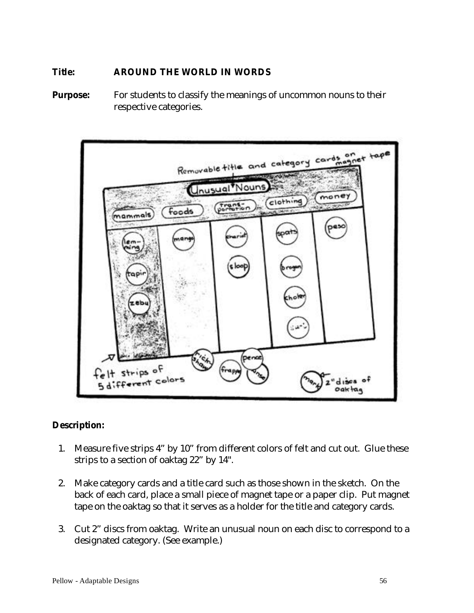#### **Title: AROUND THE WORLD IN WORDS**

**Purpose:** For students to classify the meanings of uncommon nouns to their respective categories.



## **Description:**

- 1. Measure five strips 4" by 10" from different colors of felt and cut out. Glue these strips to a section of oaktag 22" by 14".
- 2. Make category cards and a title card such as those shown in the sketch. On the back of each card, place a small piece of magnet tape or a paper clip. Put magnet tape on the oaktag so that it serves as a holder for the title and category cards.
- 3. Cut 2" discs from oaktag. Write an unusual noun on each disc to correspond to a designated category. (See example.)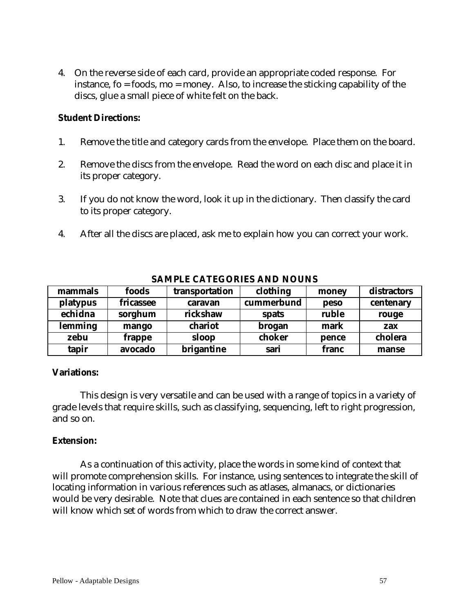4. On the reverse side of each card, provide an appropriate coded response. For instance, fo = foods, mo = money. Also, to increase the sticking capability of the discs, glue a small piece of white felt on the back.

#### **Student Directions:**

- 1. Remove the title and category cards from the envelope. Place them on the board.
- 2. Remove the discs from the envelope. Read the word on each disc and place it in its proper category.
- 3. If you do not know the word, look it up in the dictionary. Then classify the card to its proper category.
- 4. After all the discs are placed, ask me to explain how you can correct your work.

| mammals  | foods     | transportation | clothing   | money       | distractors |
|----------|-----------|----------------|------------|-------------|-------------|
| platypus | fricassee | caravan        | cummerbund | <b>peso</b> | centenary   |
| echidna  | sorghum   | rickshaw       | spats      | ruble       | rouge       |
| lemming  | mango     | chariot        | brogan     | mark        | zax         |
| zebu     | frappe    | sloop          | choker     | pence       | cholera     |
| tapir    | avocado   | brigantine     | sari       | franc       | manse       |

#### **SAMPLE CATEGORIES AND NOUNS**

#### **Variations:**

This design is very versatile and can be used with a range of topics in a variety of grade levels that require skills, such as classifying, sequencing, left to right progression, and so on.

#### **Extension:**

As a continuation of this activity, place the words in some kind of context that will promote comprehension skills. For instance, using sentences to integrate the skill of locating information in various references such as atlases, almanacs, or dictionaries would be very desirable. Note that clues are contained in each sentence so that children will know which set of words from which to draw the correct answer.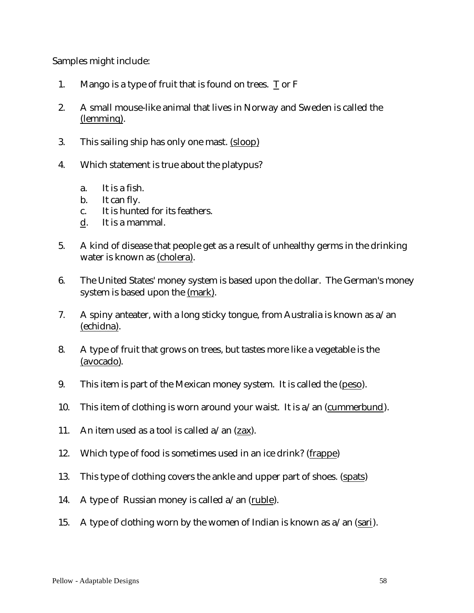Samples might include:

- 1. Mango is a type of fruit that is found on trees. T or F
- 2. A small mouse-like animal that lives in Norway and Sweden is called the (lemminq).
- 3. This sailing ship has only one mast. (sloop)
- 4. Which statement is true about the platypus?
	- a. It is a fish.
	- b. It can fly.
	- c. It is hunted for its feathers.
	- d. It is a mammal.
- 5. A kind of disease that people get as a result of unhealthy germs in the drinking water is known as (cholera).
- 6. The United States' money system is based upon the dollar. The German's money system is based upon the (mark).
- 7. A spiny anteater, with a long sticky tongue, from Australia is known as a/an (echidna).
- 8. A type of fruit that grows on trees, but tastes more like a vegetable is the (avocado).
- 9. This item is part of the Mexican money system. It is called the (peso).
- 10. This item of clothing is worn around your waist. It is  $a$ /an (cummerbund).
- 11. An item used as a tool is called  $a$ /an (zax).
- 12. Which type of food is sometimes used in an ice drink? (frappe)
- 13. This type of clothing covers the ankle and upper part of shoes. (spats)
- 14. A type of Russian money is called  $a$ /an (ruble).
- 15. A type of clothing worn by the women of Indian is known as  $a$ /an (sari).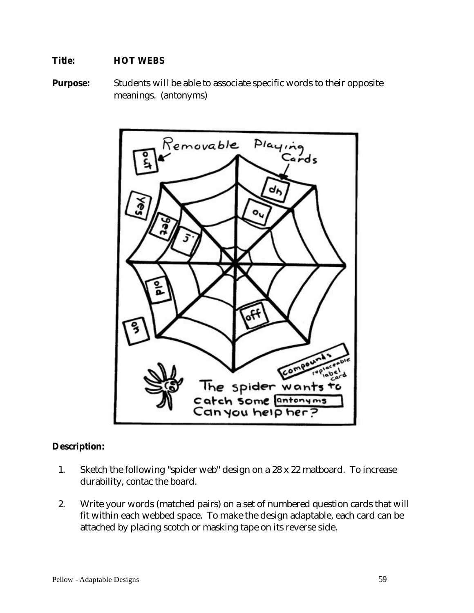## **Title: HOT WEBS**

**Purpose:** Students will be able to associate specific words to their opposite meanings. (antonyms)



## **Description:**

- 1. Sketch the following "spider web" design on a 28 x 22 matboard. To increase durability, contac the board.
- 2. Write your words (matched pairs) on a set of numbered question cards that will fit within each webbed space. To make the design adaptable, each card can be attached by placing scotch or masking tape on its reverse side.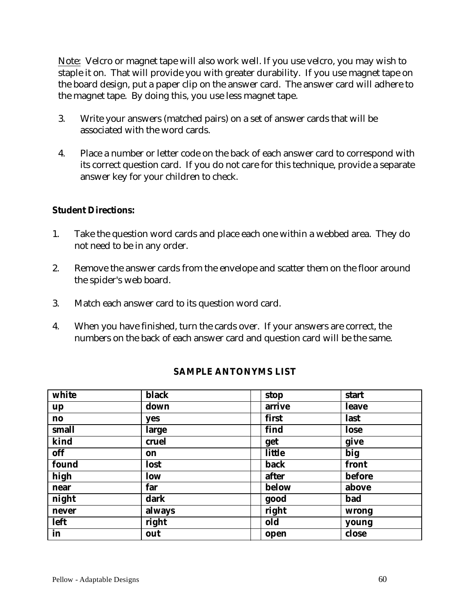Note: Velcro or magnet tape will also work well. If you use velcro, you may wish to staple it on. That will provide you with greater durability. If you use magnet tape on the board design, put a paper clip on the answer card. The answer card will adhere to the magnet tape. By doing this, you use less magnet tape.

- 3. Write your answers (matched pairs) on a set of answer cards that will be associated with the word cards.
- 4. Place a number or letter code on the back of each answer card to correspond with its correct question card. If you do not care for this technique, provide a separate answer key for your children to check.

#### **Student Directions:**

- 1. Take the question word cards and place each one within a webbed area. They do not need to be in any order.
- 2. Remove the answer cards from the envelope and scatter them on the floor around the spider's web board.
- 3. Match each answer card to its question word card.
- 4. When you have finished, turn the cards over. If your answers are correct, the numbers on the back of each answer card and question card will be the same.

| white         | <b>black</b> | stop   | start        |
|---------------|--------------|--------|--------------|
| up            | down         | arrive | <b>leave</b> |
| $\mathbf{no}$ | yes          | first  | last         |
| small         | large        | find   | lose         |
| kind          | cruel        | get    | give         |
| off           | on           | little | big          |
| found         | lost         | back   | front        |
| high          | low          | after  | before       |
| near          | far          | below  | above        |
| night         | dark         | good   | bad          |
| never         | always       | right  | wrong        |
| left          | right        | old    | young        |
| in            | out          | open   | close        |

## **SAMPLE ANTONYMS LIST**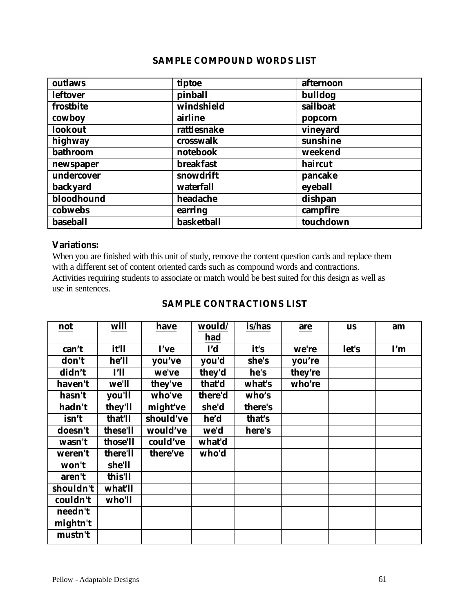#### **SAMPLE COMPOUND WORDS LIST**

| outlaws         | tiptoe           | afternoon |
|-----------------|------------------|-----------|
| <b>leftover</b> | pinball          | bulldog   |
| frostbite       | windshield       | sailboat  |
| cowboy          | airline          | popcorn   |
| lookout         | rattlesnake      | vineyard  |
| highway         | crosswalk        | sunshine  |
| <b>bathroom</b> | notebook         | weekend   |
| newspaper       | <b>breakfast</b> | haircut   |
| undercover      | snowdrift        | pancake   |
| <b>backyard</b> | waterfall        | eyeball   |
| bloodhound      | headache         | dishpan   |
| cobwebs         | earring          | campfire  |
| baseball        | basketball       | touchdown |

#### **Variations:**

When you are finished with this unit of study, remove the content question cards and replace them with a different set of content oriented cards such as compound words and contractions. Activities requiring students to associate or match would be best suited for this design as well as use in sentences.

#### **SAMPLE CONTRACTIONS LIST**

| not       | will     | have      | would/     | is/has  | are     | <b>us</b> | am  |
|-----------|----------|-----------|------------|---------|---------|-----------|-----|
|           |          |           | had        |         |         |           |     |
| can't     | it'll    | I've      | <b>I'd</b> | it's    | we're   | let's     | I'm |
| don't     | he'll    | you've    | you'd      | she's   | you're  |           |     |
| didn't    | I'll     | we've     | they'd     | he's    | they're |           |     |
| haven't   | we'll    | they've   | that'd     | what's  | who're  |           |     |
| hasn't    | you'll   | who've    | there'd    | who's   |         |           |     |
| hadn't    | they'll  | might've  | she'd      | there's |         |           |     |
| isn't     | that'll  | should've | he'd       | that's  |         |           |     |
| doesn't   | these'll | would've  | we'd       | here's  |         |           |     |
| wasn't    | those'll | could've  | what'd     |         |         |           |     |
| weren't   | there'll | there've  | who'd      |         |         |           |     |
| won't     | she'll   |           |            |         |         |           |     |
| aren't    | this'll  |           |            |         |         |           |     |
| shouldn't | what'll  |           |            |         |         |           |     |
| couldn't  | who'll   |           |            |         |         |           |     |
| needn't   |          |           |            |         |         |           |     |
| mightn't  |          |           |            |         |         |           |     |
| mustn't   |          |           |            |         |         |           |     |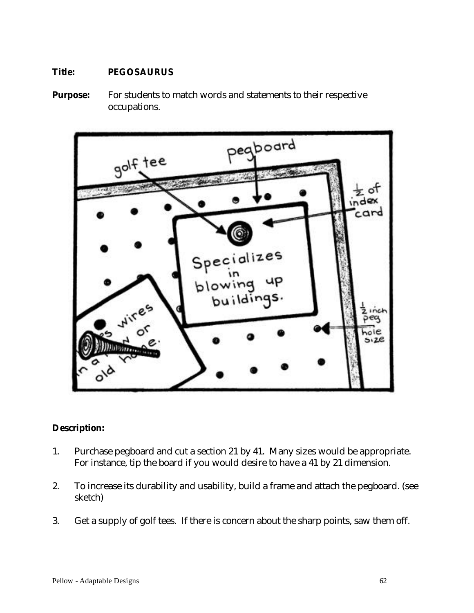## **Title: PEGOSAURUS**

**Purpose:** For students to match words and statements to their respective occupations.



## **Description:**

- 1. Purchase pegboard and cut a section 21 by 41. Many sizes would be appropriate. For instance, tip the board if you would desire to have a 41 by 21 dimension.
- 2. To increase its durability and usability, build a frame and attach the pegboard. (see sketch)
- 3. Get a supply of golf tees. If there is concern about the sharp points, saw them off.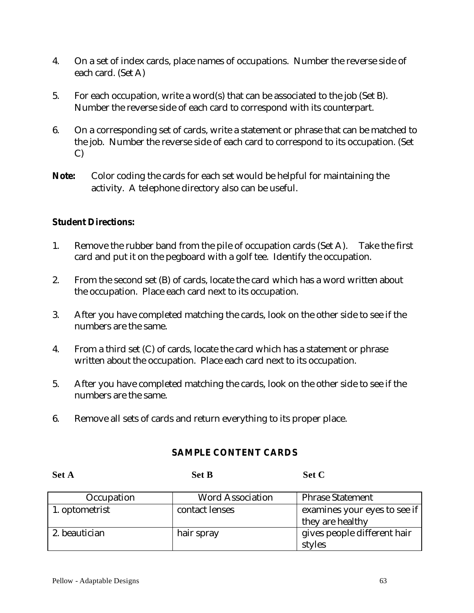- 4. On a set of index cards, place names of occupations. Number the reverse side of each card. (Set A)
- 5. For each occupation, write a word(s) that can be associated to the job (Set B). Number the reverse side of each card to correspond with its counterpart.
- 6. On a corresponding set of cards, write a statement or phrase that can be matched to the job. Number the reverse side of each card to correspond to its occupation. (Set C)
- **Note:** Color coding the cards for each set would be helpful for maintaining the activity. A telephone directory also can be useful.

## **Student Directions:**

- 1. Remove the rubber band from the pile of occupation cards (Set A). Take the first card and put it on the pegboard with a golf tee. Identify the occupation.
- 2. From the second set (B) of cards, locate the card which has a word written about the occupation. Place each card next to its occupation.
- 3. After you have completed matching the cards, look on the other side to see if the numbers are the same.
- 4. From a third set (C) of cards, locate the card which has a statement or phrase written about the occupation. Place each card next to its occupation.
- 5. After you have completed matching the cards, look on the other side to see if the numbers are the same.
- 6. Remove all sets of cards and return everything to its proper place.

**Set A Set B Set C**

#### **SAMPLE CONTENT CARDS**

| Occupation     | <b>Word Association</b> | <b>Phrase Statement</b>      |
|----------------|-------------------------|------------------------------|
| 1. optometrist | contact lenses          | examines your eyes to see if |
|                |                         | they are healthy             |
| 2. beautician  | hair spray              | gives people different hair  |
|                |                         | styles                       |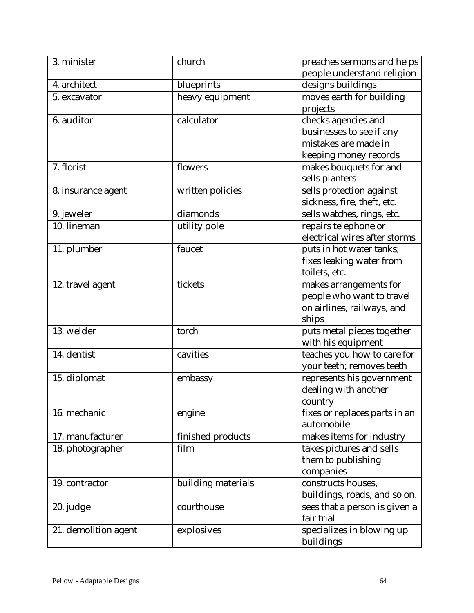| 3. minister               | church             | preaches sermons and helps    |
|---------------------------|--------------------|-------------------------------|
|                           |                    | people understand religion    |
| 4. architect              | blueprints         | designs buildings             |
| 5. excavator              | heavy equipment    | moves earth for building      |
|                           |                    | projects                      |
| 6. auditor                | calculator         | checks agencies and           |
|                           |                    | businesses to see if any      |
|                           |                    | mistakes are made in          |
|                           |                    | keeping money records         |
| 7. florist                | flowers            | makes bouquets for and        |
|                           |                    | sells planters                |
| 8. insurance agent        | written policies   | sells protection against      |
|                           |                    | sickness, fire, theft, etc.   |
| 9. jeweler                | diamonds           | sells watches, rings, etc.    |
| $\overline{10}$ . lineman | utility pole       | repairs telephone or          |
|                           |                    | electrical wires after storms |
| 11. plumber               | faucet             | puts in hot water tanks;      |
|                           |                    | fixes leaking water from      |
|                           |                    | toilets, etc.                 |
| 12. travel agent          | tickets            | makes arrangements for        |
|                           |                    | people who want to travel     |
|                           |                    | on airlines, railways, and    |
|                           |                    | ships                         |
| 13. welder                | torch              | puts metal pieces together    |
|                           |                    | with his equipment            |
| 14. dentist               | cavities           | teaches you how to care for   |
|                           |                    | your teeth; removes teeth     |
| 15. diplomat              | embassy            | represents his government     |
|                           |                    | dealing with another          |
|                           |                    | country                       |
| 16. mechanic              | engine             | fixes or replaces parts in an |
|                           |                    | automobile                    |
| 17. manufacturer          | finished products  | makes items for industry      |
| 18. photographer          | film               | takes pictures and sells      |
|                           |                    | them to publishing            |
|                           |                    | companies                     |
| 19. contractor            | building materials | constructs houses,            |
|                           |                    | buildings, roads, and so on.  |
| 20. judge                 | courthouse         | sees that a person is given a |
|                           |                    | fair trial                    |
| 21. demolition agent      | explosives         | specializes in blowing up     |
|                           |                    | buildings                     |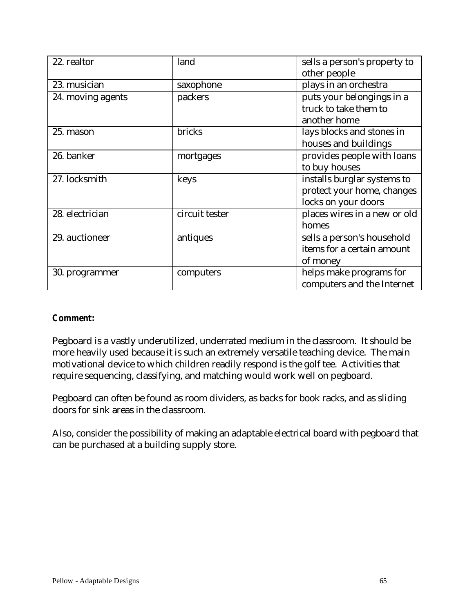| 22. realtor       | land           | sells a person's property to |
|-------------------|----------------|------------------------------|
|                   |                | other people                 |
| 23. musician      | saxophone      | plays in an orchestra        |
| 24. moving agents | packers        | puts your belongings in a    |
|                   |                | truck to take them to        |
|                   |                | another home                 |
| 25. mason         | bricks         | lays blocks and stones in    |
|                   |                | houses and buildings         |
| 26. banker        | mortgages      | provides people with loans   |
|                   |                | to buy houses                |
| 27. locksmith     | keys           | installs burglar systems to  |
|                   |                | protect your home, changes   |
|                   |                | locks on your doors          |
| 28. electrician   | circuit tester | places wires in a new or old |
|                   |                | homes                        |
| 29. auctioneer    | antiques       | sells a person's household   |
|                   |                | items for a certain amount   |
|                   |                | of money                     |
| 30. programmer    | computers      | helps make programs for      |
|                   |                | computers and the Internet   |

#### *Comment:*

Pegboard is a vastly underutilized, underrated medium in the classroom. It should be more heavily used because it is such an extremely versatile teaching device. The main motivational device to which children readily respond is the golf tee. Activities that require sequencing, classifying, and matching would work well on pegboard.

Pegboard can often be found as room dividers, as backs for book racks, and as sliding doors for sink areas in the classroom.

Also, consider the possibility of making an adaptable electrical board with pegboard that can be purchased at a building supply store.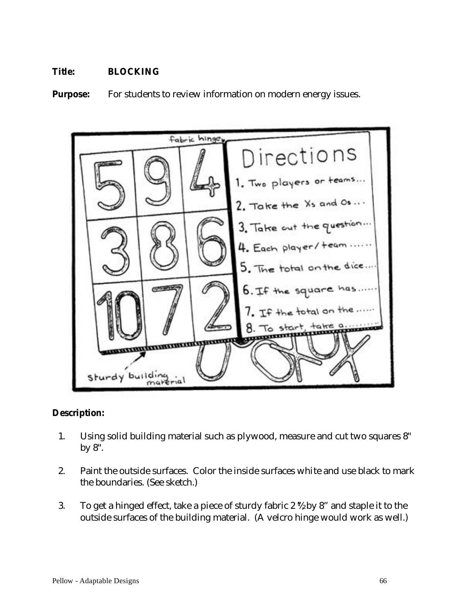## **Title: BLOCKING**

**Purpose:** For students to review information on modern energy issues.



#### **Description:**

- 1. Using solid building material such as plywood, measure and cut two squares 8" by 8".
- 2. Paint the outside surfaces. Color the inside surfaces white and use black to mark the boundaries. (See sketch.)
- 3. To get a hinged effect, take a piece of sturdy fabric 2  $\frac{1}{2}$  by 8" and staple it to the outside surfaces of the building material. (A velcro hinge would work as well.)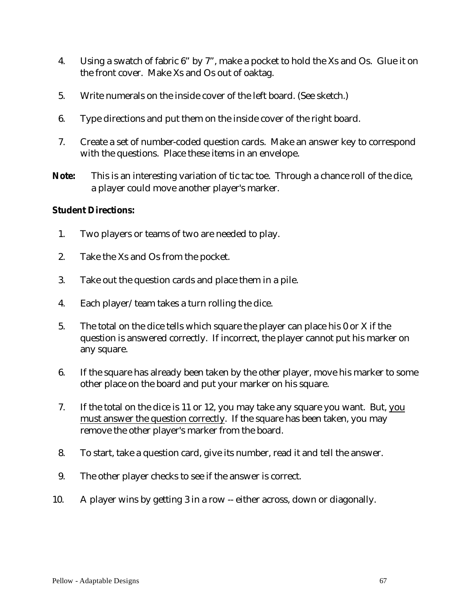- 4. Using a swatch of fabric 6" by 7", make a pocket to hold the Xs and Os. Glue it on the front cover. Make Xs and Os out of oaktag.
- 5. Write numerals on the inside cover of the left board. (See sketch.)
- 6. Type directions and put them on the inside cover of the right board.
- 7. Create a set of number-coded question cards. Make an answer key to correspond with the questions. Place these items in an envelope.
- **Note:** This is an interesting variation of tic tac toe. Through a chance roll of the dice, a player could move another player's marker.

## **Student Directions:**

- 1. Two players or teams of two are needed to play.
- 2. Take the Xs and Os from the pocket.
- 3. Take out the question cards and place them in a pile.
- 4. Each player/team takes a turn rolling the dice.
- 5. The total on the dice tells which square the player can place his 0 or X if the question is answered correctly. If incorrect, the player cannot put his marker on any square.
- 6. If the square has already been taken by the other player, move his marker to some other place on the board and put your marker on his square.
- 7. If the total on the dice is 11 or 12, you may take any square you want. But, you must answer the question correctly. If the square has been taken, you may remove the other player's marker from the board.
- 8. To start, take a question card, give its number, read it and tell the answer.
- 9. The other player checks to see if the answer is correct.
- 10. A player wins by getting 3 in a row -- either across, down or diagonally.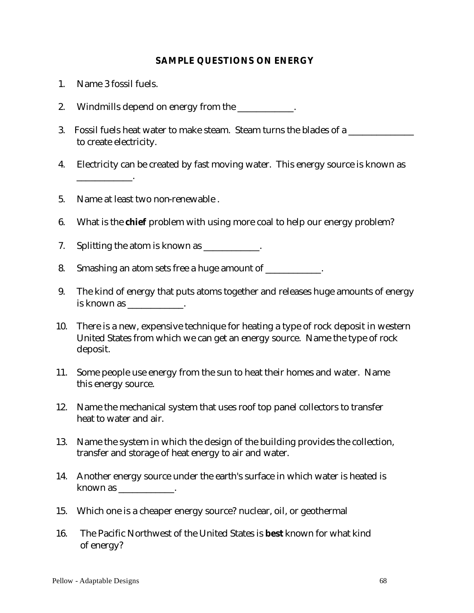#### **SAMPLE QUESTIONS ON ENERGY**

- 1.Name 3 fossil fuels.
- 2. Windmills depend on energy from the
- 3. Fossil fuels heat water to make steam. Steam turns the blades of a to create electricity.
- 4. Electricity can be created by fast moving water. This energy source is known as \_\_\_\_\_\_\_\_\_\_\_\_.
- 5. Name at least two non-renewable .
- 6. What is the **chief** problem with using more coal to help our energy problem?
- 7. Splitting the atom is known as \_\_\_\_\_\_\_\_\_\_.
- 8. Smashing an atom sets free a huge amount of  $\blacksquare$
- 9. The kind of energy that puts atoms together and releases huge amounts of energy is known as  $\qquad \qquad$
- 10. There is a new, expensive technique for heating a type of rock deposit in western United States from which we can get an energy source. Name the type of rock deposit.
- 11. Some people use energy from the sun to heat their homes and water. Name this energy source.
- 12. Name the mechanical system that uses roof top panel collectors to transfer heat to water and air.
- 13. Name the system in which the design of the building provides the collection, transfer and storage of heat energy to air and water.
- 14. Another energy source under the earth's surface in which water is heated is known as  $\frac{1}{\sqrt{1-\frac{1}{\sqrt{1-\frac{1}{\sqrt{1-\frac{1}{\sqrt{1-\frac{1}{\sqrt{1-\frac{1}{\sqrt{1-\frac{1}{\sqrt{1-\frac{1}{\sqrt{1-\frac{1}{\sqrt{1-\frac{1}{\sqrt{1-\frac{1}{\sqrt{1-\frac{1}{\sqrt{1-\frac{1}{\sqrt{1-\frac{1}{\sqrt{1-\frac{1}{\sqrt{1-\frac{1}{\sqrt{1-\frac{1}{\sqrt{1-\frac{1}{\sqrt{1-\frac{1}{\sqrt{1-\frac{1}{\sqrt{1-\frac{1}{\sqrt{1-\frac{1}{\sqrt{1-\frac{1}{\sqrt{1-\frac{1$
- 15. Which one is a cheaper energy source? nuclear, oil, or geothermal
- 16. The Pacific Northwest of the United States is **best** known for what kind of energy?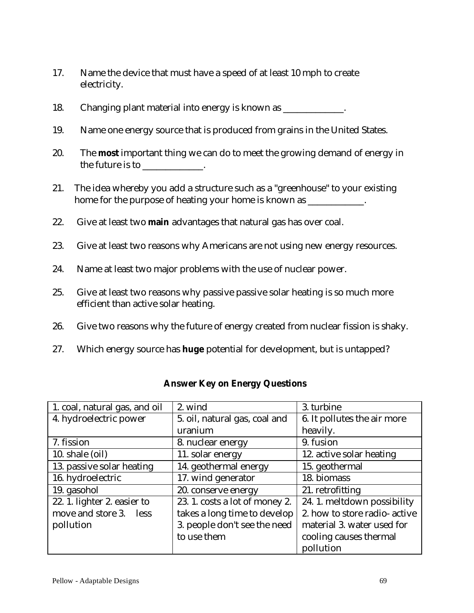- 17. Name the device that must have a speed of at least 10 mph to create electricity.
- 18. Changing plant material into energy is known as \_\_\_\_\_\_\_\_\_\_\_\_.
- 19. Name one energy source that is produced from grains in the United States.
- 20. The **most** important thing we can do to meet the growing demand of energy in the future is to  $\qquad \qquad$
- 21. The idea whereby you add a structure such as a "greenhouse" to your existing home for the purpose of heating your home is known as \_\_\_\_\_\_\_\_\_\_\_.
- 22. Give at least two **main** advantages that natural gas has over coal.
- 23. Give at least two reasons why Americans are not using new energy resources.
- 24. Name at least two major problems with the use of nuclear power.
- 25. Give at least two reasons why passive passive solar heating is so much more efficient than active solar heating.
- 26. Give two reasons why the future of energy created from nuclear fission is shaky.
- 27. Which energy source has **huge** potential for development, but is untapped?

| 1. coal, natural gas, and oil | 2. wind                        | 3. turbine                    |
|-------------------------------|--------------------------------|-------------------------------|
| 4. hydroelectric power        | 5. oil, natural gas, coal and  | 6. It pollutes the air more   |
|                               | uranium                        | heavily.                      |
| 7. fission                    | 8. nuclear energy              | 9. fusion                     |
| 10. shale (oil)               | 11. solar energy               | 12. active solar heating      |
| 13. passive solar heating     | 14. geothermal energy          | 15. geothermal                |
| 16. hydroelectric             | 17. wind generator             | 18. biomass                   |
| 19. gasohol                   | 20. conserve energy            | 21. retrofitting              |
| 22. 1. lighter 2. easier to   | 23. 1. costs a lot of money 2. | 24.1. meltdown possibility    |
| move and store 3. less        | takes a long time to develop   | 2. how to store radio- active |
| pollution                     | 3. people don't see the need   | material 3. water used for    |
|                               | to use them                    | cooling causes thermal        |
|                               |                                | pollution                     |

### **Answer Key on Energy Questions**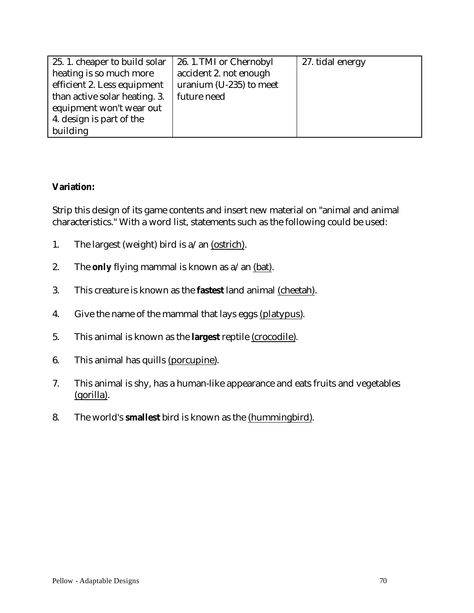| 25.1. cheaper to build solar  | 26. 1. TMI or Chernobyl | 27. tidal energy |
|-------------------------------|-------------------------|------------------|
| heating is so much more       | accident 2. not enough  |                  |
| efficient 2. Less equipment   | uranium (U-235) to meet |                  |
| than active solar heating. 3. | future need             |                  |
| equipment won't wear out      |                         |                  |
| 4. design is part of the      |                         |                  |
| building                      |                         |                  |

## **Variation:**

Strip this design of its game contents and insert new material on "animal and animal characteristics." With a word list, statements such as the following could be used:

- 1. The largest (weight) bird is  $a$ /an (ostrich).
- 2. The **only** flying mammal is known as a/an (bat).
- 3. This creature is known as the **fastest** land animal (cheetah).
- 4. Give the name of the mammal that lays eggs (platypus).
- 5. This animal is known as the **largest** reptile (crocodile).
- 6. This animal has quills (porcupine).
- 7. This animal is shy, has a human-like appearance and eats fruits and vegetables (gorilla).
- 8. The world's **smallest** bird is known as the (hummingbird).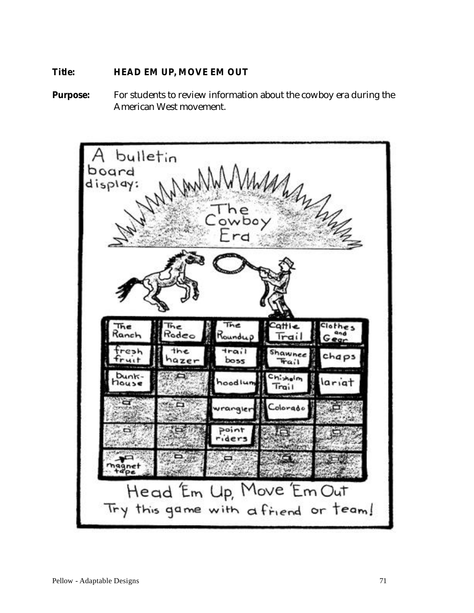## **Title: HEAD EM UP, MOVE EM OUT**

**Purpose:** For students to review information about the cowboy era during the American West movement.

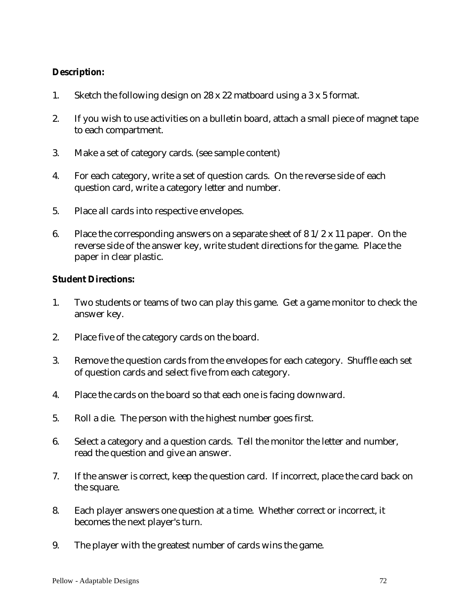## **Description:**

- 1. Sketch the following design on 28 x 22 matboard using a 3 x 5 format.
- 2. If you wish to use activities on a bulletin board, attach a small piece of magnet tape to each compartment.
- 3. Make a set of category cards. (see sample content)
- 4. For each category, write a set of question cards. On the reverse side of each question card, write a category letter and number.
- 5. Place all cards into respective envelopes.
- 6. Place the corresponding answers on a separate sheet of  $81/2 \times 11$  paper. On the reverse side of the answer key, write student directions for the game. Place the paper in clear plastic.

## **Student Directions:**

- 1. Two students or teams of two can play this game. Get a game monitor to check the answer key.
- 2. Place five of the category cards on the board.
- 3. Remove the question cards from the envelopes for each category. Shuffle each set of question cards and select five from each category.
- 4. Place the cards on the board so that each one is facing downward.
- 5. Roll a die. The person with the highest number goes first.
- 6. Select a category and a question cards. Tell the monitor the letter and number, read the question and give an answer.
- 7. If the answer is correct, keep the question card. If incorrect, place the card back on the square.
- 8. Each player answers one question at a time. Whether correct or incorrect, it becomes the next player's turn.
- 9. The player with the greatest number of cards wins the game.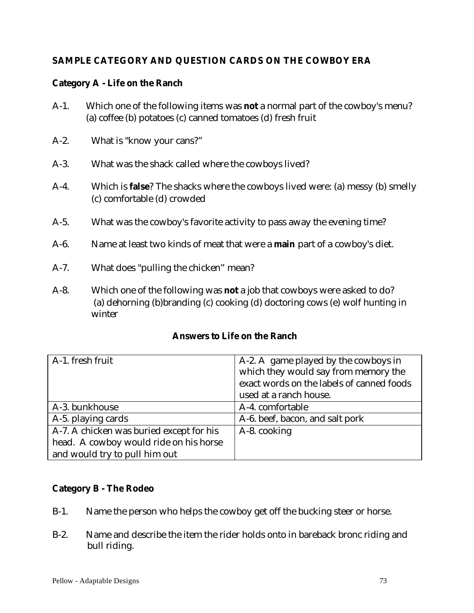# **SAMPLE CATEGORY AND QUESTION CARDS ON THE COWBOY ERA**

## **Category A - Life on the Ranch**

- A-1. Which one of the following items was **not** a normal part of the cowboy's menu? (a) coffee (b) potatoes (c) canned tomatoes (d) fresh fruit
- A-2. What is "know your cans?"
- A-3. What was the shack called where the cowboys lived?
- A-4. Which is **false**? The shacks where the cowboys lived were: (a) messy (b) smelly (c) comfortable (d) crowded
- A-5. What was the cowboy's favorite activity to pass away the evening time?
- A-6. Name at least two kinds of meat that were a **main** part of a cowboy's diet.
- A-7. What does "pulling the chicken" mean?
- A-8. Which one of the following was **not** a job that cowboys were asked to do? (a) dehorning (b)branding (c) cooking (d) doctoring cows (e) wolf hunting in winter

### **Answers to Life on the Ranch**

| A-1. fresh fruit                         | A-2. A game played by the cowboys in      |
|------------------------------------------|-------------------------------------------|
|                                          | which they would say from memory the      |
|                                          | exact words on the labels of canned foods |
|                                          | used at a ranch house.                    |
| A-3. bunkhouse                           | A-4. comfortable                          |
| A-5. playing cards                       | A-6. beef, bacon, and salt pork           |
| A-7. A chicken was buried except for his | A-8. cooking                              |
| head. A cowboy would ride on his horse   |                                           |
| and would try to pull him out            |                                           |

## **Category B - The Rodeo**

- B-1. Name the person who helps the cowboy get off the bucking steer or horse.
- B-2. Name and describe the item the rider holds onto in bareback bronc riding and bull riding.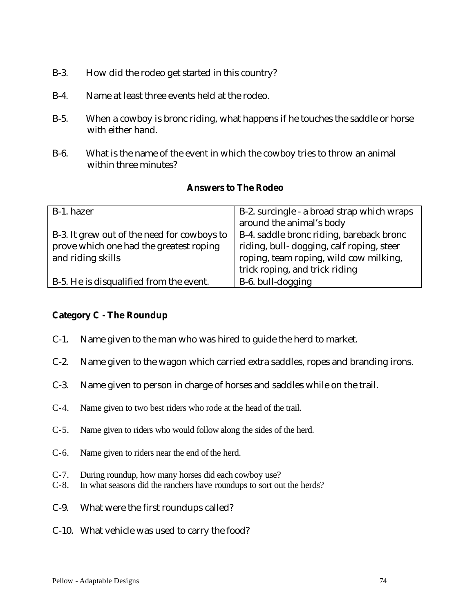- B-3. How did the rodeo get started in this country?
- B-4. Name at least three events held at the rodeo.
- B-5. When a cowboy is bronc riding, what happens if he touches the saddle or horse with either hand.
- B-6. What is the name of the event in which the cowboy tries to throw an animal within three minutes?

### **Answers to The Rodeo**

| B-1. hazer                                  | B-2. surcingle - a broad strap which wraps |
|---------------------------------------------|--------------------------------------------|
|                                             | around the animal's body                   |
| B-3. It grew out of the need for cowboys to | B-4. saddle bronc riding, bareback bronc   |
| prove which one had the greatest roping     | riding, bull-dogging, calf roping, steer   |
| and riding skills                           | roping, team roping, wild cow milking,     |
|                                             | trick roping, and trick riding             |
| B-5. He is disqualified from the event.     | B-6. bull-dogging                          |

## **Category C - The Roundup**

- C-1. Name given to the man who was hired to guide the herd to market.
- C-2. Name given to the wagon which carried extra saddles, ropes and branding irons.
- C-3. Name given to person in charge of horses and saddles while on the trail.
- C-4. Name given to two best riders who rode at the head of the trail.
- C-5. Name given to riders who would follow along the sides of the herd.
- C-6. Name given to riders near the end of the herd.
- C-7. During roundup, how many horses did each cowboy use?
- C-8. In what seasons did the ranchers have roundups to sort out the herds?
- C-9. What were the first roundups called?
- C-10. What vehicle was used to carry the food?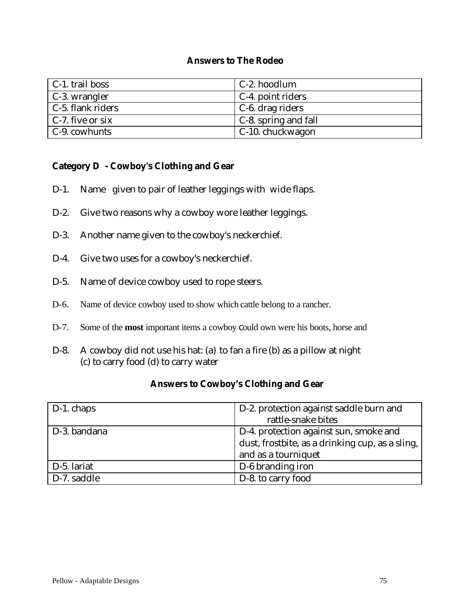#### **Answers to The Rodeo**

| $\mid$ C-1. trail boss   | C-2. hoodlum             |
|--------------------------|--------------------------|
| $\mid$ C-3. wrangler     | $\mid$ C-4. point riders |
| $\mid$ C-5. flank riders | $\mid$ C-6. drag riders  |
| $\mid$ C-7. five or six  | C-8. spring and fall     |
| $\mid$ C-9. cowhunts     | C-10. chuckwagon         |

#### **Category D - Cowboy's Clothing and Gear**

- D-1. Name given to pair of leather leggings with wide flaps.
- D-2. Give two reasons why a cowboy wore leather leggings.
- D-3. Another name given to the cowboy's neckerchief.
- D-4. Give two uses for a cowboy's neckerchief.
- D-5. Name of device cowboy used to rope steers.
- D-6. Name of device cowboy used to show which cattle belong to a rancher.
- D-7. Some of the **most** important items a cowboy could own were his boots, horse and
- D-8. A cowboy did not use his hat: (a) to fan a fire (b) as a pillow at night (c) to carry food (d) to carry water

## **Answers to Cowboy's Clothing and Gear**

| $\vert$ D-1. chaps | D-2. protection against saddle burn and         |
|--------------------|-------------------------------------------------|
|                    | rattle-snake bites                              |
| D-3. bandana       | D-4. protection against sun, smoke and          |
|                    | dust, frostbite, as a drinking cup, as a sling, |
|                    | and as a tourniquet                             |
| D-5. lariat        | D-6 branding iron                               |
| D-7. saddle        | D-8. to carry food                              |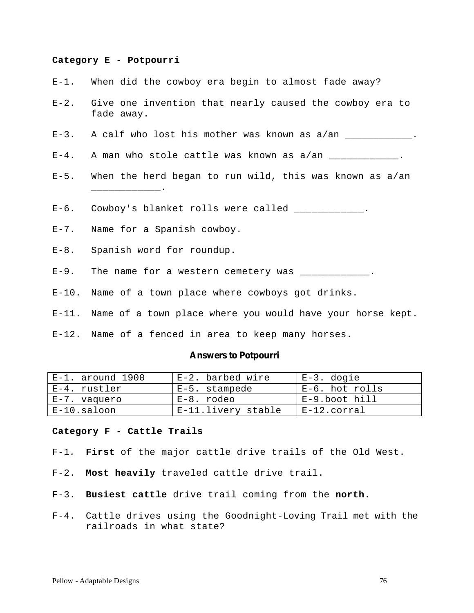#### **Category E - Potpourri**

- E-1. When did the cowboy era begin to almost fade away?
- E-2. Give one invention that nearly caused the cowboy era to fade away.
- E-3. A calf who lost his mother was known as a/an \_\_\_\_\_\_\_\_\_\_\_\_.
- $E-4$ . A man who stole cattle was known as  $a/an$  \_\_\_\_\_\_\_\_\_\_\_\_.
- E-5. When the herd began to run wild, this was known as a/an
- E-6. Cowboy's blanket rolls were called \_\_\_\_\_\_\_\_\_\_\_\_.
- E-7. Name for a Spanish cowboy.

\_\_\_\_\_\_\_\_\_\_\_\_.

- E-8. Spanish word for roundup.
- E-9. The name for a western cemetery was \_\_\_\_\_\_\_\_\_\_\_\_\_.
- E-10. Name of a town place where cowboys got drinks.
- E-11. Name of a town place where you would have your horse kept.
- E-12. Name of a fenced in area to keep many horses.

#### **Answers to Potpourri**

| E-1. around 1900 | E-2. barbed wire   | E-3. dogie     |
|------------------|--------------------|----------------|
| E-4. rustler     | E-5. stampede      | E-6. hot rolls |
| E-7. vaquero     | E-8. rodeo         | E-9.boot hill  |
| $E-10$ .saloon   | E-11.livery stable | $E-12.corral$  |

#### **Category F - Cattle Trails**

- F-1*.* **First** of the major cattle drive trails of the Old West.
- F-2. **Most heavily** traveled cattle drive trail.
- F-3. **Busiest cattle** drive trail coming from the **north**.
- F-4. Cattle drives using the Goodnight-Loving Trail met with the railroads in what state?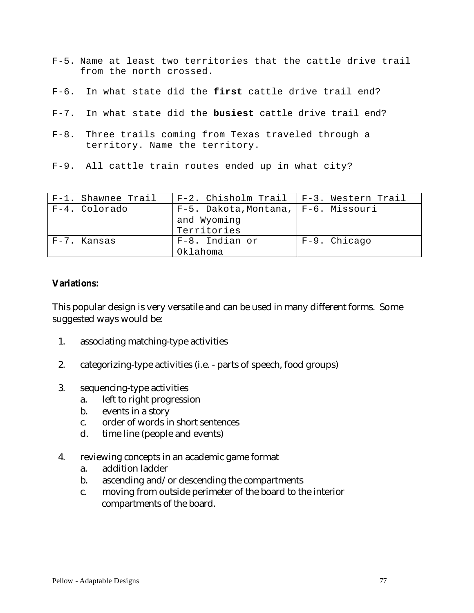- F-5. Name at least two territories that the cattle drive trail from the north crossed.
- F-6. In what state did the **first** cattle drive trail end?
- F-7. In what state did the **busiest** cattle drive trail end?
- F-8. Three trails coming from Texas traveled through a territory. Name the territory.
- F-9. All cattle train routes ended up in what city?

| F-1. Shawnee Trail | $F-2$ . Chisholm Trail   $F-3$ . Western Trail |              |
|--------------------|------------------------------------------------|--------------|
| F-4. Colorado      | $F-5$ . Dakota, Montana, $F-6$ . Missouri      |              |
|                    | and Wyoming                                    |              |
|                    | Territories                                    |              |
| F-7. Kansas        | F-8. Indian or                                 | F-9. Chicago |
|                    | Oklahoma                                       |              |

### **Variations:**

This popular design is very versatile and can be used in many different forms. Some suggested ways would be:

- 1. associating matching-type activities
- 2. categorizing-type activities (i.e. parts of speech, food groups)
- 3. sequencing-type activities
	- a. left to right progression
	- b. events in a story
	- c. order of words in short sentences
	- d. time line (people and events)
- 4. reviewing concepts in an academic game format
	- a. addition ladder
	- b. ascending and/or descending the compartments
	- c. moving from outside perimeter of the board to the interior compartments of the board.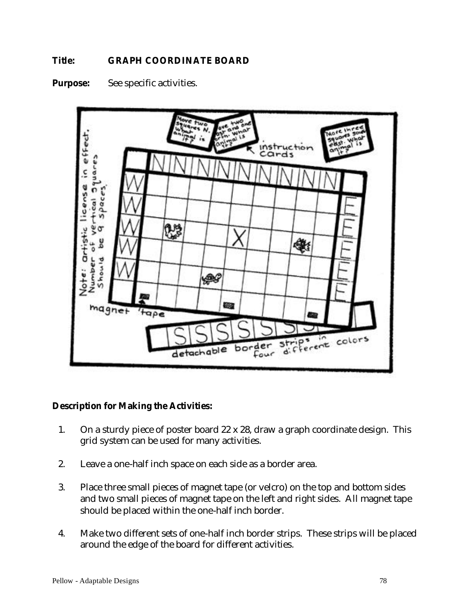## **Title: GRAPH COORDINATE BOARD**





### **Description for Making the Activities:**

- 1. On a sturdy piece of poster board 22 x 28, draw a graph coordinate design. This grid system can be used for many activities.
- 2. Leave a one-half inch space on each side as a border area.
- 3. Place three small pieces of magnet tape (or velcro) on the top and bottom sides and two small pieces of magnet tape on the left and right sides. All magnet tape should be placed within the one-half inch border.
- 4. Make two different sets of one-half inch border strips. These strips will be placed around the edge of the board for different activities.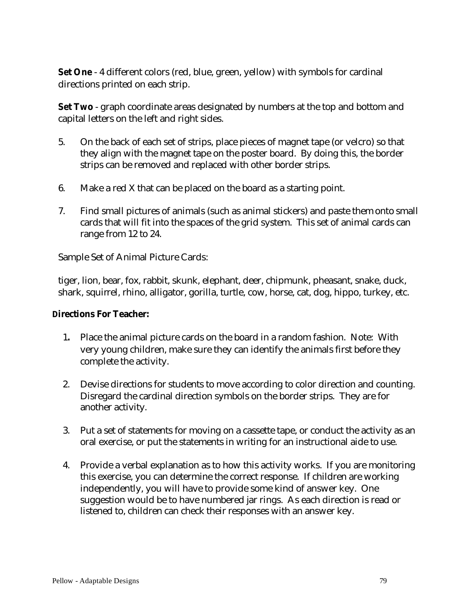**Set One** - 4 different colors (red, blue, green, yellow) with symbols for cardinal directions printed on each strip.

**Set Two** - graph coordinate areas designated by numbers at the top and bottom and capital letters on the left and right sides.

- 5. On the back of each set of strips, place pieces of magnet tape (or velcro) so that they align with the magnet tape on the poster board. By doing this, the border strips can be removed and replaced with other border strips.
- 6. Make a red X that can be placed on the board as a starting point.
- 7. Find small pictures of animals (such as animal stickers) and paste them onto small cards that will fit into the spaces of the grid system. This set of animal cards can range from 12 to 24.

Sample Set of Animal Picture Cards:

tiger, lion, bear, fox, rabbit, skunk, elephant, deer, chipmunk, pheasant, snake, duck, shark, squirrel, rhino, alligator, gorilla, turtle, cow, horse, cat, dog, hippo, turkey, etc.

### **Directions For Teacher:**

- 1**.** Place the animal picture cards on the board in a random fashion. Note: With very young children, make sure they can identify the animals first before they complete the activity.
- 2. Devise directions for students to move according to color direction and counting. Disregard the cardinal direction symbols on the border strips. They are for another activity.
- 3. Put a set of statements for moving on a cassette tape, or conduct the activity as an oral exercise, or put the statements in writing for an instructional aide to use.
- 4. Provide a verbal explanation as to how this activity works. If you are monitoring this exercise, you can determine the correct response. If children are working independently, you will have to provide some kind of answer key. One suggestion would be to have numbered jar rings. As each direction is read or listened to, children can check their responses with an answer key.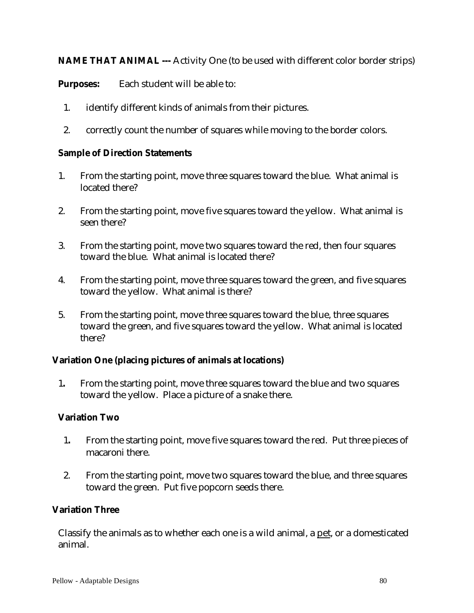**NAME THAT ANIMAL ---** Activity One (to be used with different color border strips)

**Purposes:** Each student will be able to:

- 1. identify different kinds of animals from their pictures.
- 2. correctly count the number of squares while moving to the border colors.

### **Sample of Direction Statements**

- 1. From the starting point, move three squares toward the blue. What animal is located there?
- 2. From the starting point, move five squares toward the yellow. What animal is seen there?
- 3. From the starting point, move two squares toward the red, then four squares toward the blue. What animal is located there?
- 4. From the starting point, move three squares toward the green, and five squares toward the yellow. What animal is there?
- 5. From the starting point, move three squares toward the blue, three squares toward the green, and five squares toward the yellow. What animal is located there?

### **Variation One (placing pictures of animals at locations)**

1**.** From the starting point, move three squares toward the blue and two squares toward the yellow. Place a picture of a snake there.

### **Variation Two**

- 1**.** From the starting point, move five squares toward the red. Put three pieces of macaroni there.
- 2. From the starting point, move two squares toward the blue, and three squares toward the green. Put five popcorn seeds there.

### **Variation Three**

Classify the animals as to whether each one is a wild animal, a pet, or a domesticated animal.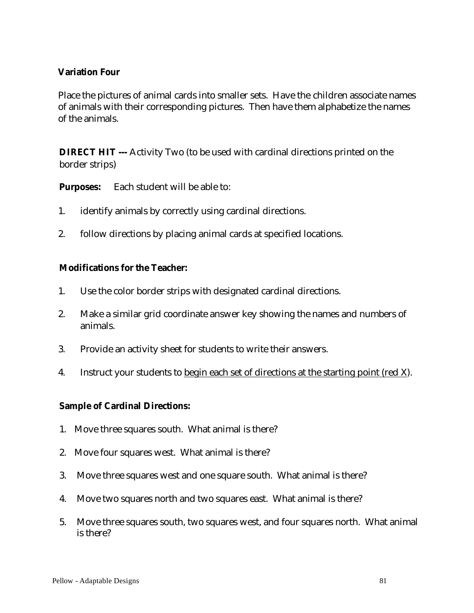## **Variation Four**

Place the pictures of animal cards into smaller sets. Have the children associate names of animals with their corresponding pictures. Then have them alphabetize the names of the animals.

**DIRECT HIT** --- Activity Two (to be used with cardinal directions printed on the border strips)

**Purposes:** Each student will be able to:

- 1. identify animals by correctly using cardinal directions.
- 2. follow directions by placing animal cards at specified locations.

## **Modifications for the Teacher:**

- 1. Use the color border strips with designated cardinal directions.
- 2. Make a similar grid coordinate answer key showing the names and numbers of animals.
- 3. Provide an activity sheet for students to write their answers.
- 4. Instruct your students to begin each set of directions at the starting point (red X).

### **Sample of Cardinal Directions:**

- 1. Move three squares south. What animal is there?
- 2. Move four squares west. What animal is there?
- 3. Move three squares west and one square south. What animal is there?
- 4. Move two squares north and two squares east. What animal is there?
- 5. Move three squares south, two squares west, and four squares north. What animal is there?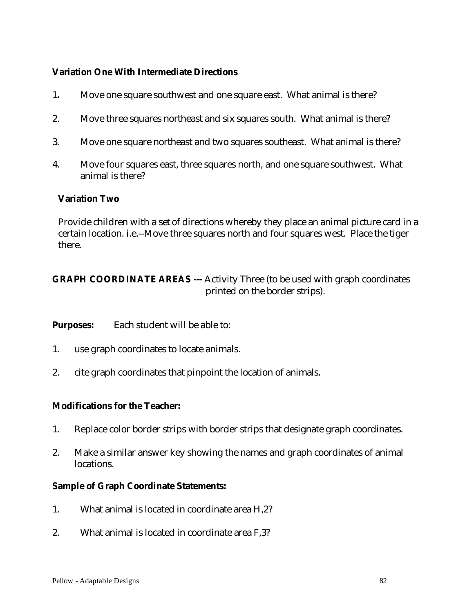### **Variation One With Intermediate Directions**

- 1**.** Move one square southwest and one square east. What animal is there?
- 2. Move three squares northeast and six squares south. What animal is there?
- 3. Move one square northeast and two squares southeast. What animal is there?
- 4. Move four squares east, three squares north, and one square southwest. What animal is there?

#### **Variation Two**

Provide children with a set of directions whereby they place an animal picture card in a certain location. i.e.--Move three squares north and four squares west. Place the tiger there.

# **GRAPH COORDINATE AREAS** --- Activity Three (to be used with graph coordinates printed on the border strips).

**Purposes:** Each student will be able to:

- 1. use graph coordinates to locate animals.
- 2. cite graph coordinates that pinpoint the location of animals.

### **Modifications for the Teacher:**

- 1. Replace color border strips with border strips that designate graph coordinates.
- 2. Make a similar answer key showing the names and graph coordinates of animal locations.

#### **Sample of Graph Coordinate Statements:**

- 1. What animal is located in coordinate area H,2?
- 2. What animal is located in coordinate area F,3?